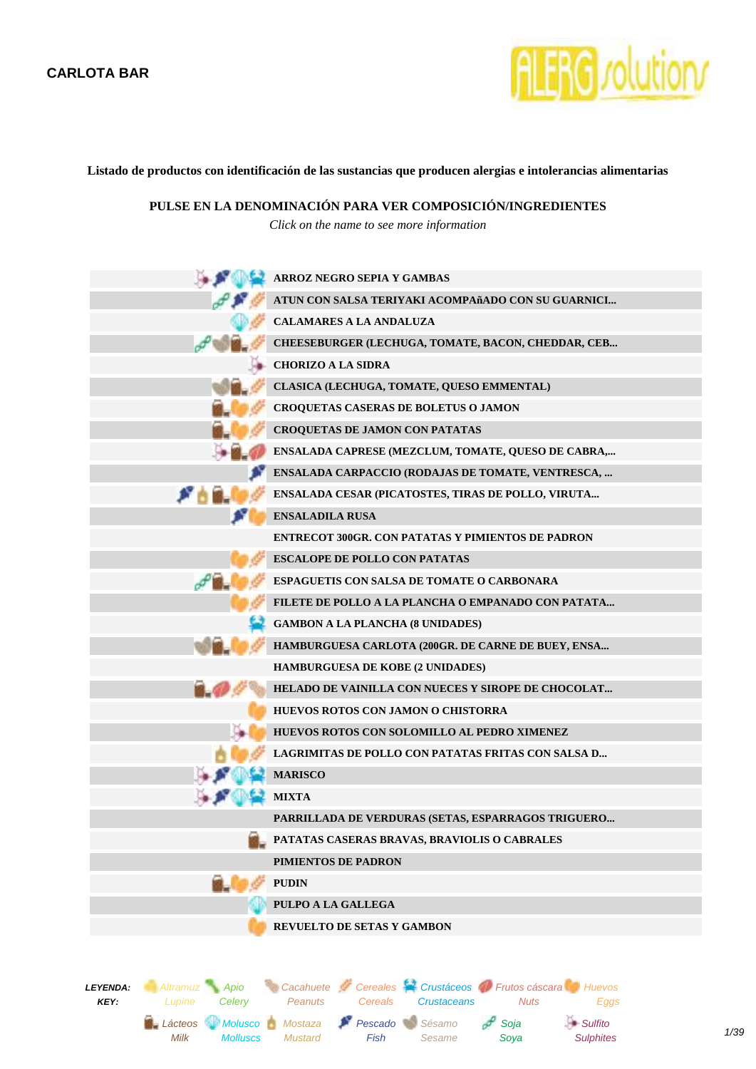

**Listado de productos con identificación de las sustancias que producen alergias e intolerancias alimentarias**

**PULSE EN LA DENOMINACIÓN PARA VER COMPOSICIÓN/INGREDIENTES**

*Click on the name to see more information*

| $\mathcal{F}(\mathbb{R}^2)$                           | ARROZ NEGRO SEPIA Y GAMBAS                                                                                               |
|-------------------------------------------------------|--------------------------------------------------------------------------------------------------------------------------|
| اللائي                                                | ATUN CON SALSA TERIYAKI ACOMPAñADO CON SU GUARNICI                                                                       |
|                                                       | <b>CALAMARES A LA ANDALUZA</b>                                                                                           |
|                                                       | CHEESEBURGER (LECHUGA, TOMATE, BACON, CHEDDAR, CEB                                                                       |
|                                                       | <b>CHORIZO A LA SIDRA</b>                                                                                                |
|                                                       | CLASICA (LECHUGA, TOMATE, QUESO EMMENTAL)                                                                                |
|                                                       | <b>CROQUETAS CASERAS DE BOLETUS O JAMON</b>                                                                              |
|                                                       | <b>CROQUETAS DE JAMON CON PATATAS</b>                                                                                    |
|                                                       | ENSALADA CAPRESE (MEZCLUM, TOMATE, QUESO DE CABRA,                                                                       |
|                                                       | ENSALADA CARPACCIO (RODAJAS DE TOMATE, VENTRESCA,                                                                        |
|                                                       | ENSALADA CESAR (PICATOSTES, TIRAS DE POLLO, VIRUTA                                                                       |
|                                                       | <b>ENSALADILA RUSA</b>                                                                                                   |
|                                                       | <b>ENTRECOT 300GR. CON PATATAS Y PIMIENTOS DE PADRON</b>                                                                 |
|                                                       | <b>ESCALOPE DE POLLO CON PATATAS</b>                                                                                     |
|                                                       | <b>ESPAGUETIS CON SALSA DE TOMATE O CARBONARA</b>                                                                        |
|                                                       | FILETE DE POLLO A LA PLANCHA O EMPANADO CON PATATA                                                                       |
|                                                       | <b>GAMBON A LA PLANCHA (8 UNIDADES)</b>                                                                                  |
|                                                       | HAMBURGUESA CARLOTA (200GR. DE CARNE DE BUEY, ENSA                                                                       |
|                                                       | <b>HAMBURGUESA DE KOBE (2 UNIDADES)</b>                                                                                  |
|                                                       | <b>HELADO DE VAINILLA CON NUECES Y SIROPE DE CHOCOLAT</b>                                                                |
|                                                       | HUEVOS ROTOS CON JAMON O CHISTORRA                                                                                       |
|                                                       | HUEVOS ROTOS CON SOLOMILLO AL PEDRO XIMENEZ                                                                              |
|                                                       | LAGRIMITAS DE POLLO CON PATATAS FRITAS CON SALSA D                                                                       |
|                                                       | <b>MARISCO</b>                                                                                                           |
|                                                       | <b>MIXTA</b>                                                                                                             |
|                                                       | PARRILLADA DE VERDURAS (SETAS, ESPARRAGOS TRIGUERO                                                                       |
|                                                       | PATATAS CASERAS BRAVAS, BRAVIOLIS O CABRALES                                                                             |
|                                                       | PIMIENTOS DE PADRON                                                                                                      |
|                                                       | <b>PUDIN</b>                                                                                                             |
|                                                       | PULPO A LA GALLEGA                                                                                                       |
|                                                       | <b>REVUELTO DE SETAS Y GAMBON</b>                                                                                        |
|                                                       |                                                                                                                          |
|                                                       |                                                                                                                          |
| Altramuz Apio<br>LEYENDA:<br>KEY:<br>Celery<br>Lupine | Cacahuete Cereales Crustáceos O Frutos cáscara Huevos<br>Peanuts<br><b>Crustaceans</b><br><b>Nuts</b><br>Eggs<br>Cereals |

Pescado Sésamo

Sesame

Soja Soya  $S$ ulfito

Fish

Lácteos Molusco Mostaza

Molluscs

Mustard

Milk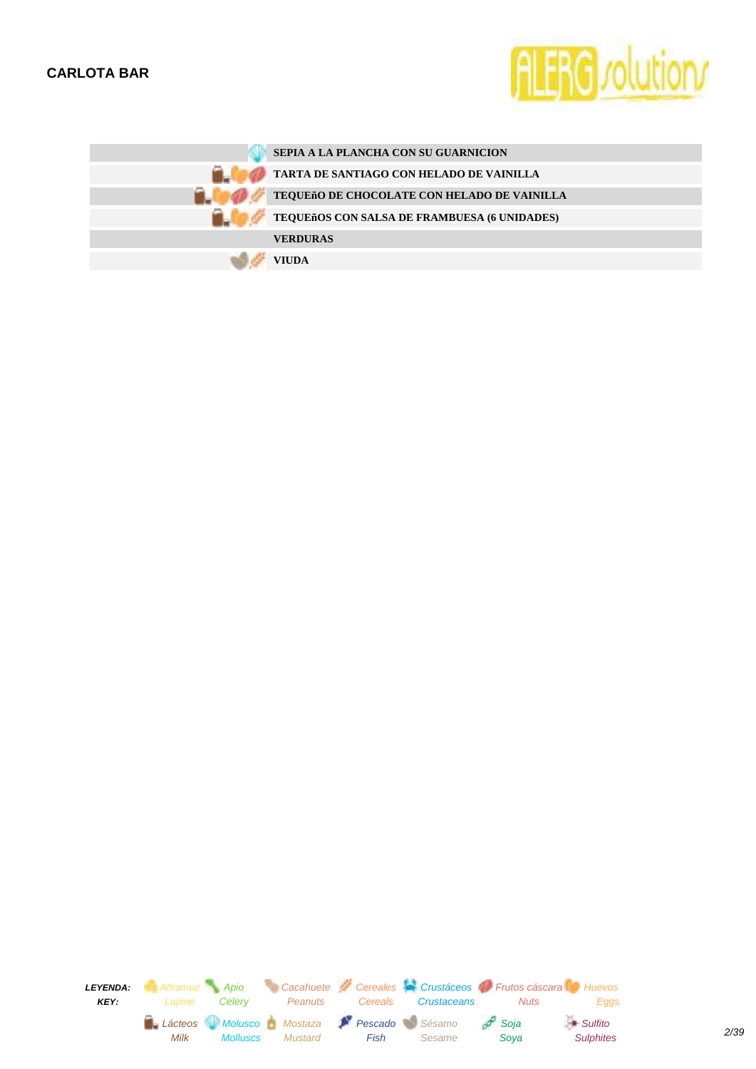

| SEPIA A LA PLANCHA CON SU GUARNICION                |
|-----------------------------------------------------|
| TARTA DE SANTIAGO CON HELADO DE VAINILLA            |
| TEQUEñO DE CHOCOLATE CON HELADO DE VAINILLA         |
| <b>TEQUEñOS CON SALSA DE FRAMBUESA (6 UNIDADES)</b> |
| <b>VERDURAS</b>                                     |
| <b>VIUDA</b>                                        |

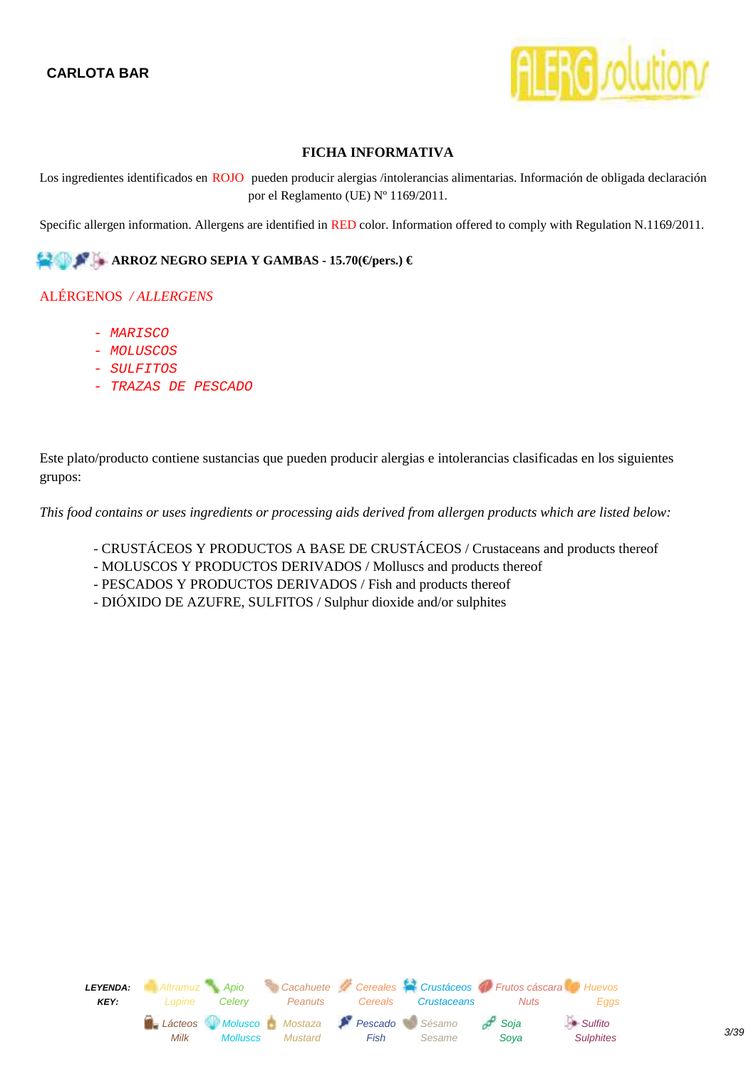

<span id="page-2-0"></span>Los ingredientes identificados en ROJO pueden producir alergias /intolerancias alimentarias. Información de obligada declaración por el Reglamento (UE) Nº 1169/2011.

Specific allergen information. Allergens are identified in RED color. Information offered to comply with Regulation N.1169/2011.

#### **ARROZ NEGRO SEPIA Y GAMBAS - 15.70(€/pers.) €**

## ALÉRGENOS */ ALLERGENS*

- MARISCO
- MOLUSCOS
- SULFITOS
- TRAZAS DE PESCADO

Este plato/producto contiene sustancias que pueden producir alergias e intolerancias clasificadas en los siguientes grupos:

- CRUSTÁCEOS Y PRODUCTOS A BASE DE CRUSTÁCEOS / Crustaceans and products thereof
- MOLUSCOS Y PRODUCTOS DERIVADOS / Molluscs and products thereof
- PESCADOS Y PRODUCTOS DERIVADOS / Fish and products thereof
- DIÓXIDO DE AZUFRE, SULFITOS / Sulphur dioxide and/or sulphites

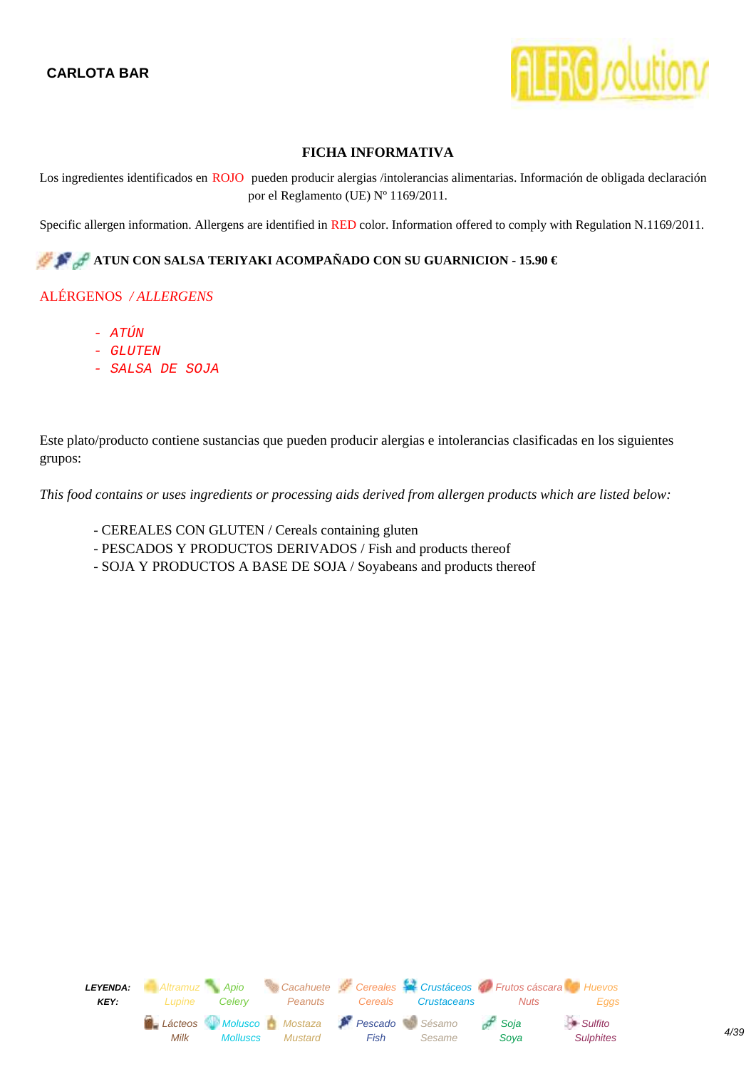

<span id="page-3-0"></span>Los ingredientes identificados en ROJO pueden producir alergias /intolerancias alimentarias. Información de obligada declaración por el Reglamento (UE) Nº 1169/2011.

Specific allergen information. Allergens are identified in RED color. Information offered to comply with Regulation N.1169/2011.

# **ATUN CON SALSA TERIYAKI ACOMPAÑADO CON SU GUARNICION - 15.90 €**

## ALÉRGENOS */ ALLERGENS*

- ATÚN
- GLUTEN
- SALSA DE SOJA

Este plato/producto contiene sustancias que pueden producir alergias e intolerancias clasificadas en los siguientes grupos:

- CEREALES CON GLUTEN / Cereals containing gluten
- PESCADOS Y PRODUCTOS DERIVADOS / Fish and products thereof
- SOJA Y PRODUCTOS A BASE DE SOJA / Soyabeans and products thereof

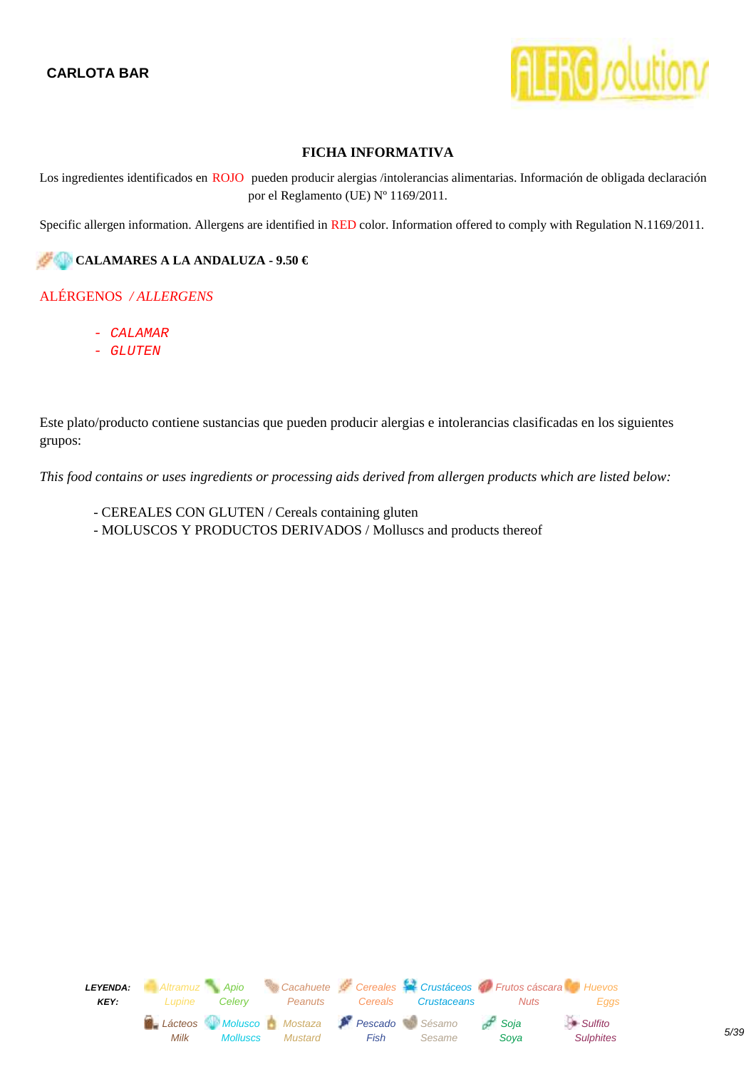

<span id="page-4-0"></span>Los ingredientes identificados en ROJO pueden producir alergias /intolerancias alimentarias. Información de obligada declaración por el Reglamento (UE) Nº 1169/2011.

Specific allergen information. Allergens are identified in RED color. Information offered to comply with Regulation N.1169/2011.

## **CALAMARES A LA ANDALUZA - 9.50 €**

#### ALÉRGENOS */ ALLERGENS*

- CALAMAR
- GLUTEN

Este plato/producto contiene sustancias que pueden producir alergias e intolerancias clasificadas en los siguientes grupos:

- CEREALES CON GLUTEN / Cereals containing gluten
- MOLUSCOS Y PRODUCTOS DERIVADOS / Molluscs and products thereof

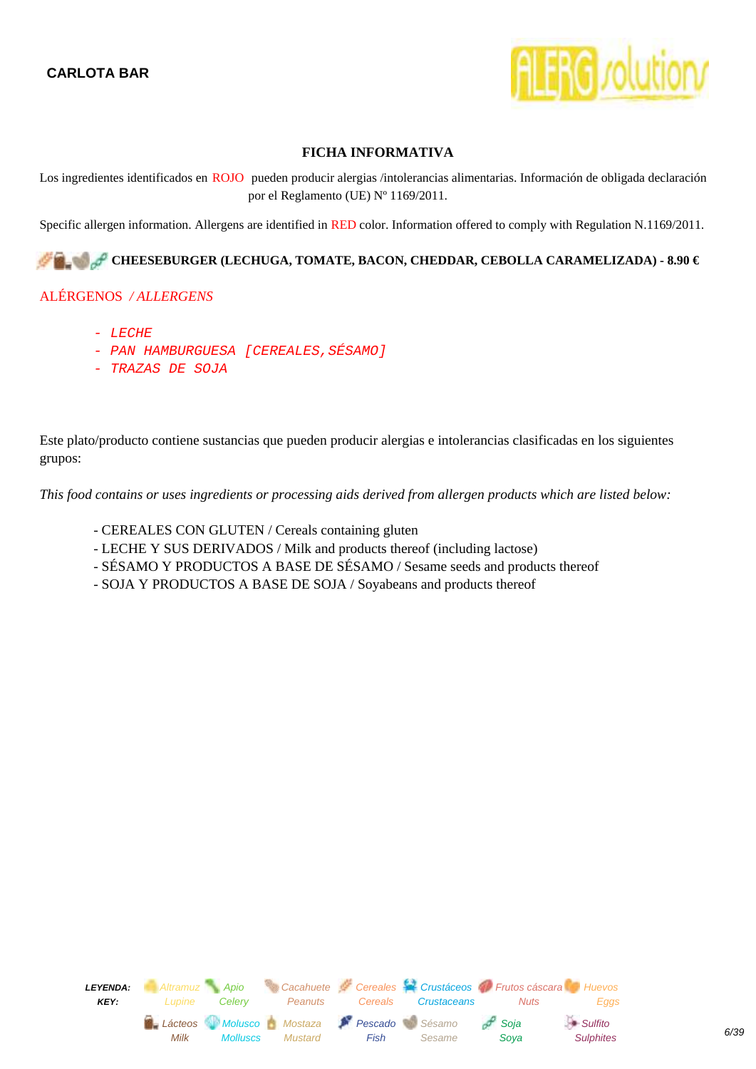

<span id="page-5-0"></span>Los ingredientes identificados en ROJO pueden producir alergias /intolerancias alimentarias. Información de obligada declaración por el Reglamento (UE) Nº 1169/2011.

Specific allergen information. Allergens are identified in RED color. Information offered to comply with Regulation N.1169/2011.

## CHEESEBURGER (LECHUGA, TOMATE, BACON, CHEDDAR, CEBOLLA CARAMELIZADA) - 8.90 €

#### ALÉRGENOS */ ALLERGENS*

- LECHE
- PAN HAMBURGUESA [CEREALES, SÉSAMO]
- TRAZAS DE SOJA

Este plato/producto contiene sustancias que pueden producir alergias e intolerancias clasificadas en los siguientes grupos:

- CEREALES CON GLUTEN / Cereals containing gluten
- LECHE Y SUS DERIVADOS / Milk and products thereof (including lactose)
- SÉSAMO Y PRODUCTOS A BASE DE SÉSAMO / Sesame seeds and products thereof
- SOJA Y PRODUCTOS A BASE DE SOJA / Soyabeans and products thereof

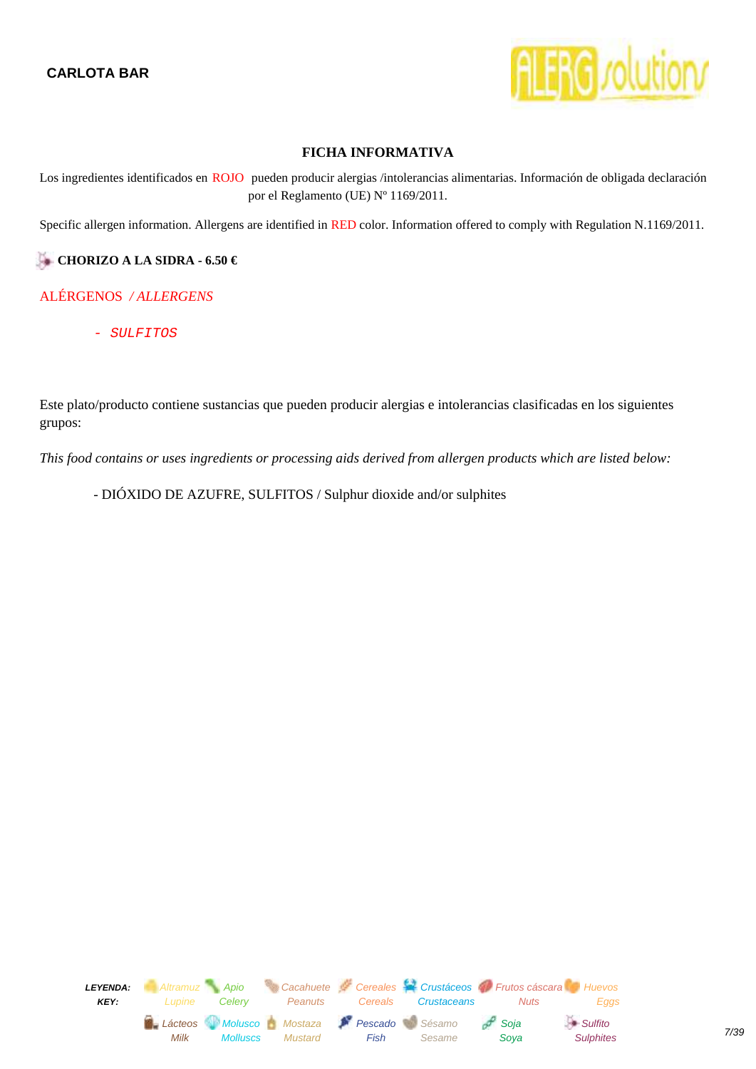

<span id="page-6-0"></span>Los ingredientes identificados en ROJO pueden producir alergias /intolerancias alimentarias. Información de obligada declaración por el Reglamento (UE) Nº 1169/2011.

Specific allergen information. Allergens are identified in RED color. Information offered to comply with Regulation N.1169/2011.

## **CHORIZO A LA SIDRA - 6.50 €**

## ALÉRGENOS */ ALLERGENS*

- SULFITOS

Este plato/producto contiene sustancias que pueden producir alergias e intolerancias clasificadas en los siguientes grupos:

*This food contains or uses ingredients or processing aids derived from allergen products which are listed below:*

- DIÓXIDO DE AZUFRE, SULFITOS / Sulphur dioxide and/or sulphites

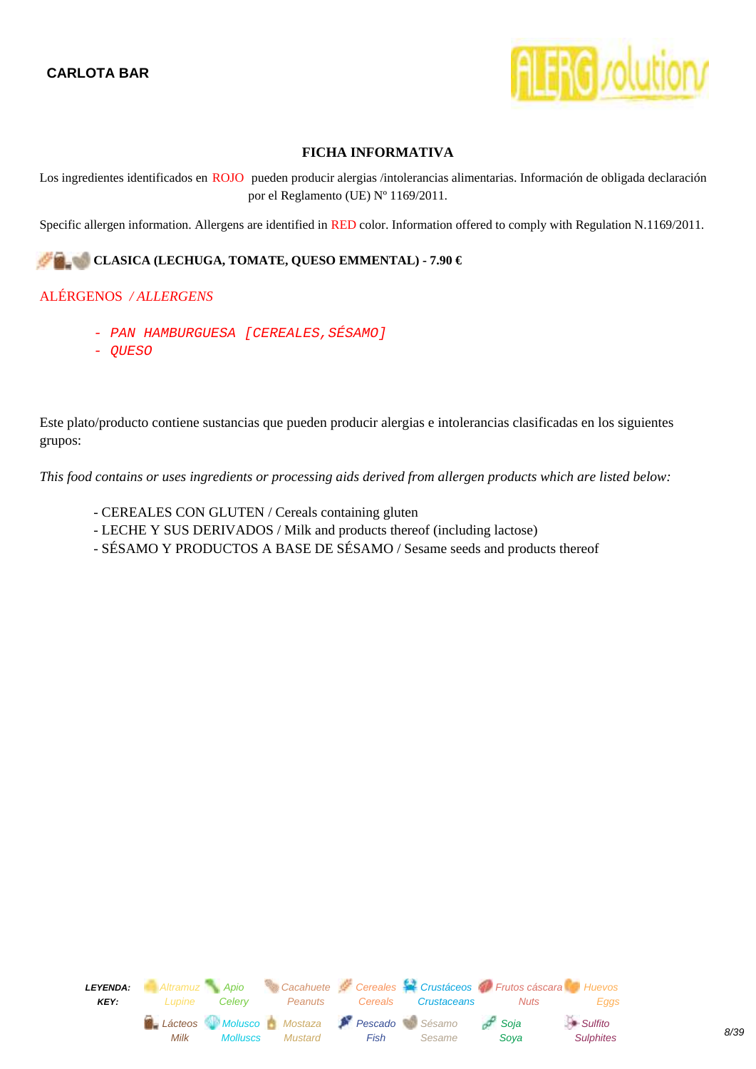

<span id="page-7-0"></span>Los ingredientes identificados en ROJO pueden producir alergias /intolerancias alimentarias. Información de obligada declaración por el Reglamento (UE) Nº 1169/2011.

Specific allergen information. Allergens are identified in RED color. Information offered to comply with Regulation N.1169/2011.

## **CLASICA (LECHUGA, TOMATE, QUESO EMMENTAL) - 7.90 €**

#### ALÉRGENOS */ ALLERGENS*

- PAN HAMBURGUESA [CEREALES, SÉSAMO]
- QUESO

Este plato/producto contiene sustancias que pueden producir alergias e intolerancias clasificadas en los siguientes grupos:

- CEREALES CON GLUTEN / Cereals containing gluten
- LECHE Y SUS DERIVADOS / Milk and products thereof (including lactose)
- SÉSAMO Y PRODUCTOS A BASE DE SÉSAMO / Sesame seeds and products thereof

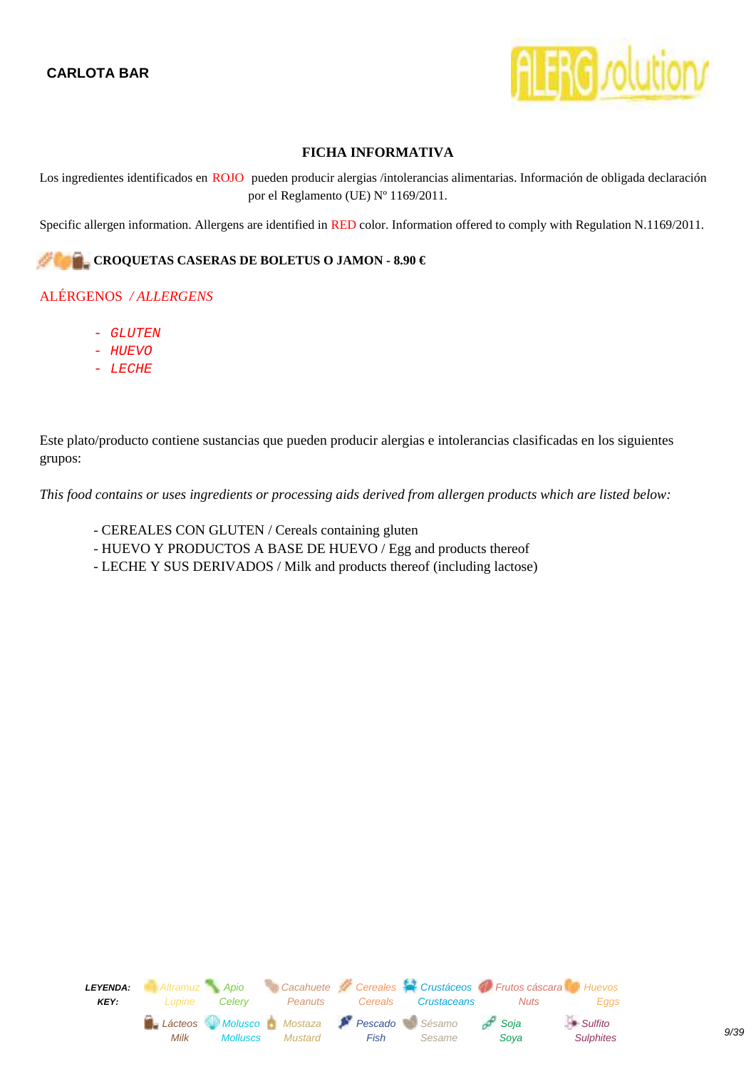

<span id="page-8-0"></span>Los ingredientes identificados en ROJO pueden producir alergias /intolerancias alimentarias. Información de obligada declaración por el Reglamento (UE) Nº 1169/2011.

Specific allergen information. Allergens are identified in RED color. Information offered to comply with Regulation N.1169/2011.

#### **CROQUETAS CASERAS DE BOLETUS O JAMON - 8.90 €**

#### ALÉRGENOS */ ALLERGENS*

- GLUTEN
- HUEVO
- LECHE

Este plato/producto contiene sustancias que pueden producir alergias e intolerancias clasificadas en los siguientes grupos:

- CEREALES CON GLUTEN / Cereals containing gluten
- HUEVO Y PRODUCTOS A BASE DE HUEVO / Egg and products thereof
- LECHE Y SUS DERIVADOS / Milk and products thereof (including lactose)

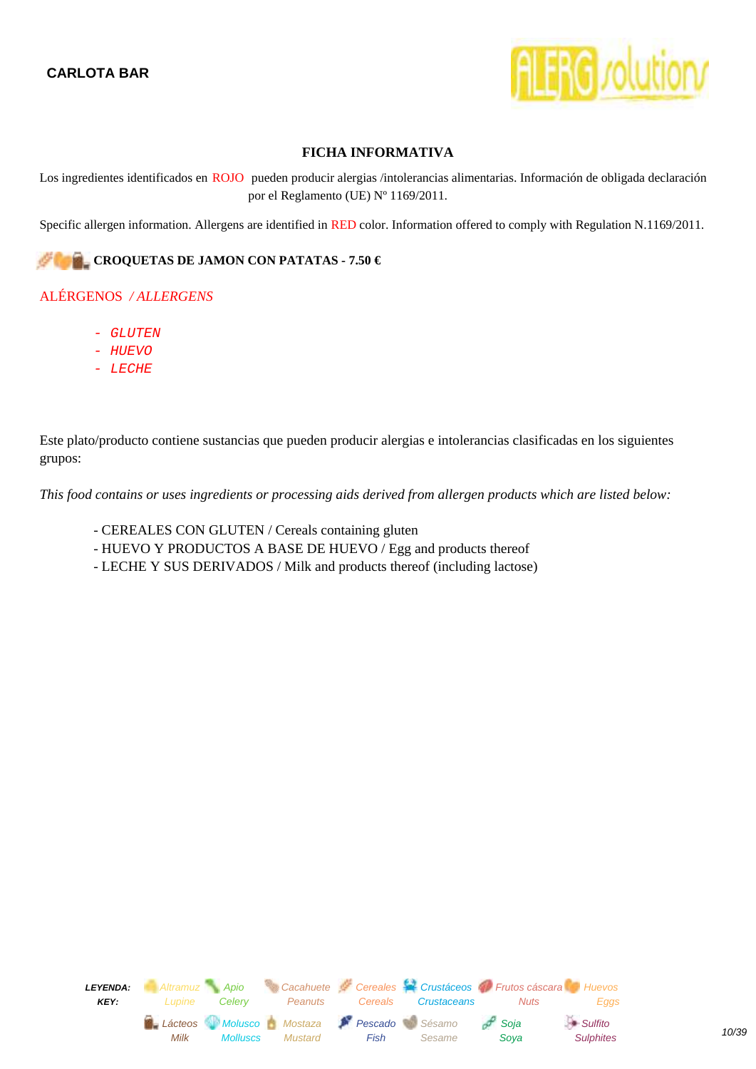

<span id="page-9-0"></span>Los ingredientes identificados en ROJO pueden producir alergias /intolerancias alimentarias. Información de obligada declaración por el Reglamento (UE) Nº 1169/2011.

Specific allergen information. Allergens are identified in RED color. Information offered to comply with Regulation N.1169/2011.

#### **CROQUETAS DE JAMON CON PATATAS - 7.50 €**

#### ALÉRGENOS */ ALLERGENS*

- GLUTEN
- HUEVO
- LECHE

Este plato/producto contiene sustancias que pueden producir alergias e intolerancias clasificadas en los siguientes grupos:

- CEREALES CON GLUTEN / Cereals containing gluten
- HUEVO Y PRODUCTOS A BASE DE HUEVO / Egg and products thereof
- LECHE Y SUS DERIVADOS / Milk and products thereof (including lactose)

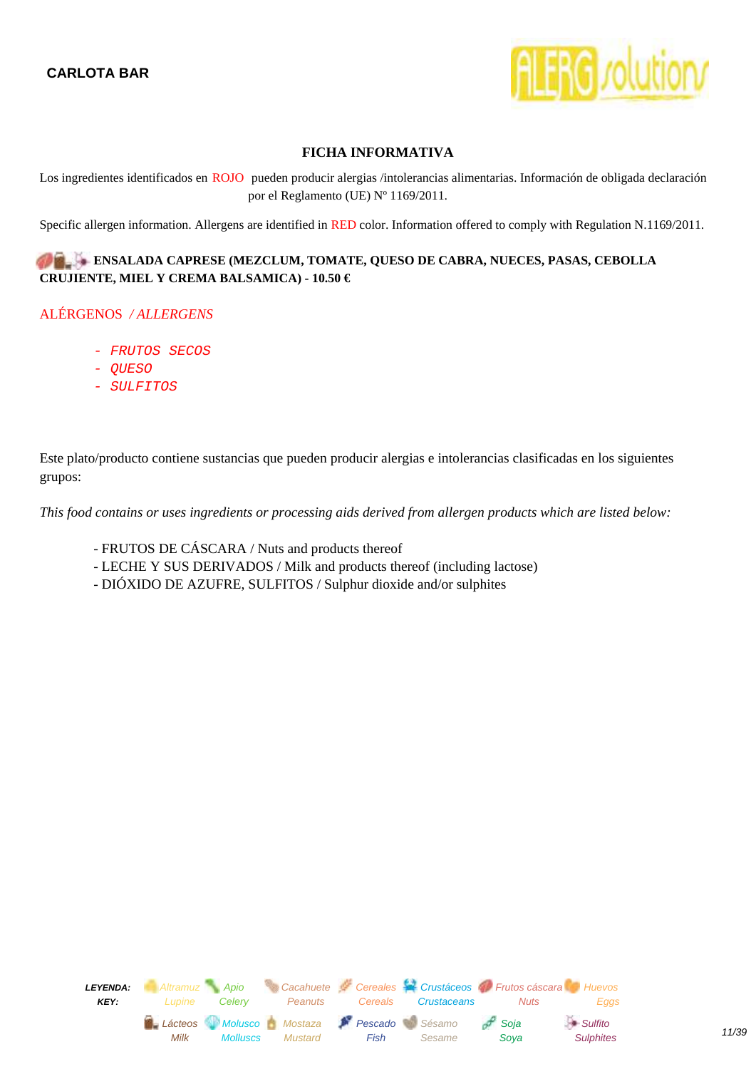

<span id="page-10-0"></span>Los ingredientes identificados en ROJO pueden producir alergias /intolerancias alimentarias. Información de obligada declaración por el Reglamento (UE) Nº 1169/2011.

Specific allergen information. Allergens are identified in RED color. Information offered to comply with Regulation N.1169/2011.

#### **ENSALADA CAPRESE (MEZCLUM, TOMATE, QUESO DE CABRA, NUECES, PASAS, CEBOLLA CRUJIENTE, MIEL Y CREMA BALSAMICA) - 10.50 €**

#### ALÉRGENOS */ ALLERGENS*

- FRUTOS SECOS
- QUESO
- SULFITOS

Este plato/producto contiene sustancias que pueden producir alergias e intolerancias clasificadas en los siguientes grupos:

- FRUTOS DE CÁSCARA / Nuts and products thereof
- LECHE Y SUS DERIVADOS / Milk and products thereof (including lactose)
- DIÓXIDO DE AZUFRE, SULFITOS / Sulphur dioxide and/or sulphites

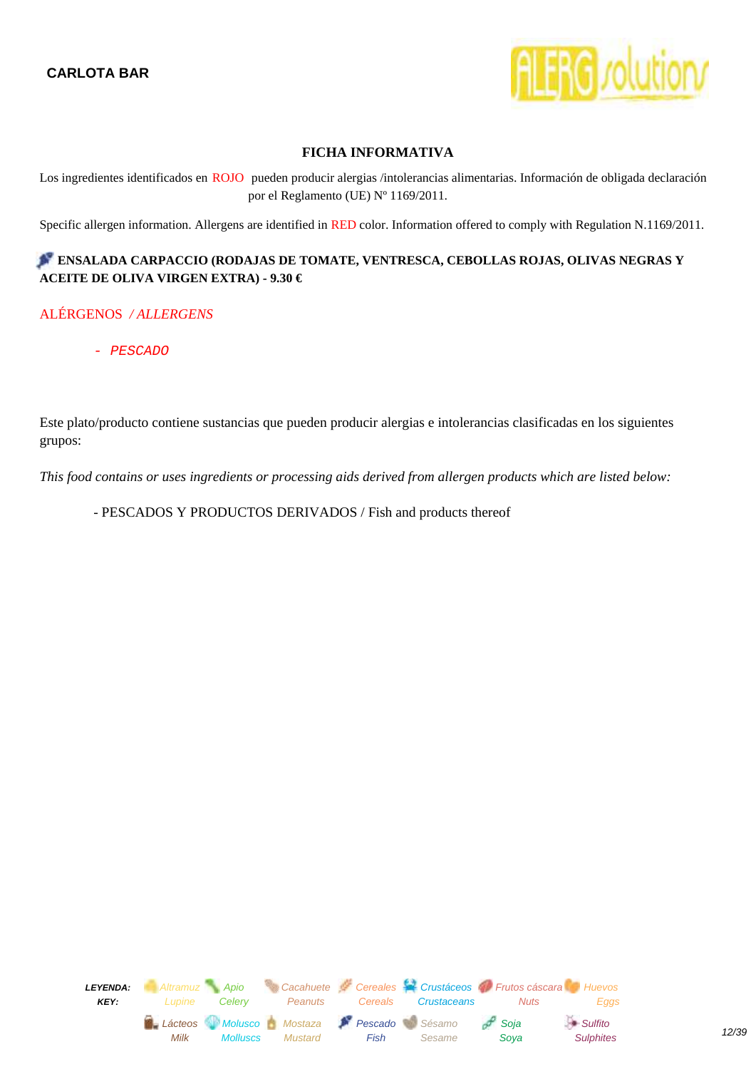

<span id="page-11-0"></span>Los ingredientes identificados en ROJO pueden producir alergias /intolerancias alimentarias. Información de obligada declaración por el Reglamento (UE) Nº 1169/2011.

Specific allergen information. Allergens are identified in RED color. Information offered to comply with Regulation N.1169/2011.

## **ENSALADA CARPACCIO (RODAJAS DE TOMATE, VENTRESCA, CEBOLLAS ROJAS, OLIVAS NEGRAS Y ACEITE DE OLIVA VIRGEN EXTRA) - 9.30 €**

#### ALÉRGENOS */ ALLERGENS*

- PESCADO

Este plato/producto contiene sustancias que pueden producir alergias e intolerancias clasificadas en los siguientes grupos:

*This food contains or uses ingredients or processing aids derived from allergen products which are listed below:*

- PESCADOS Y PRODUCTOS DERIVADOS / Fish and products thereof

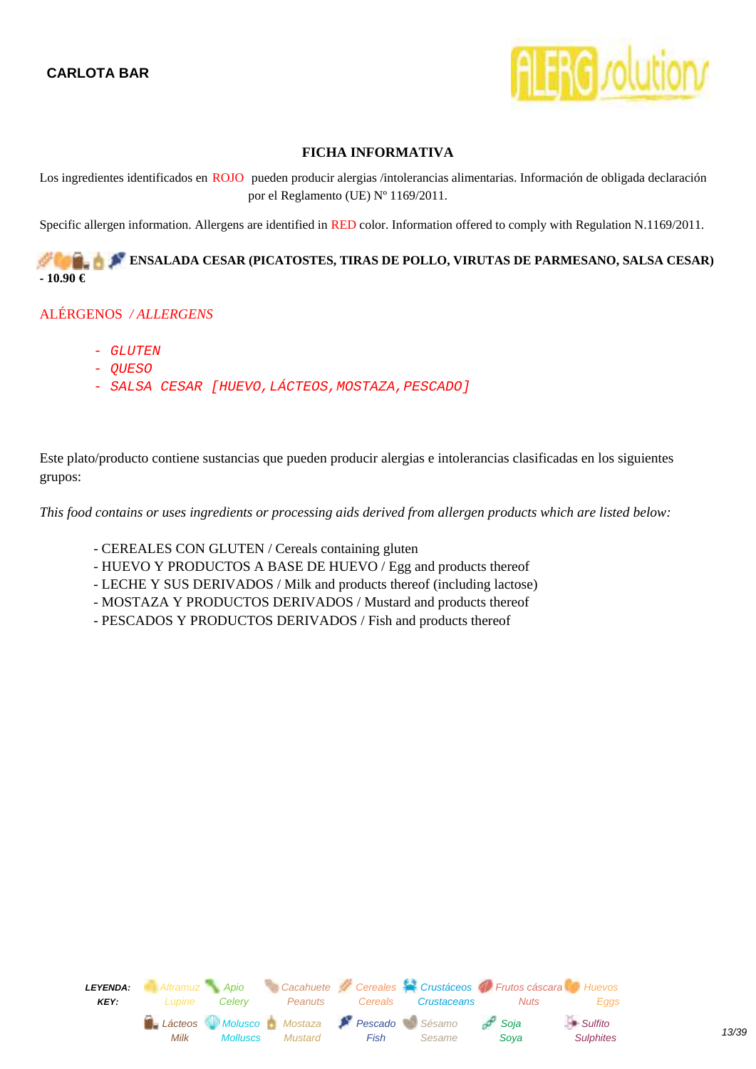

<span id="page-12-0"></span>Los ingredientes identificados en ROJO pueden producir alergias /intolerancias alimentarias. Información de obligada declaración por el Reglamento (UE) Nº 1169/2011.

Specific allergen information. Allergens are identified in RED color. Information offered to comply with Regulation N.1169/2011.

**ENSALADA CESAR (PICATOSTES, TIRAS DE POLLO, VIRUTAS DE PARMESANO, SALSA CESAR) - 10.90 €** 

#### ALÉRGENOS */ ALLERGENS*

- GLUTEN
- QUESO
- SALSA CESAR [HUEVO,LÁCTEOS,MOSTAZA,PESCADO]

Este plato/producto contiene sustancias que pueden producir alergias e intolerancias clasificadas en los siguientes grupos:

- CEREALES CON GLUTEN / Cereals containing gluten
- HUEVO Y PRODUCTOS A BASE DE HUEVO / Egg and products thereof
- LECHE Y SUS DERIVADOS / Milk and products thereof (including lactose)
- MOSTAZA Y PRODUCTOS DERIVADOS / Mustard and products thereof
- PESCADOS Y PRODUCTOS DERIVADOS / Fish and products thereof

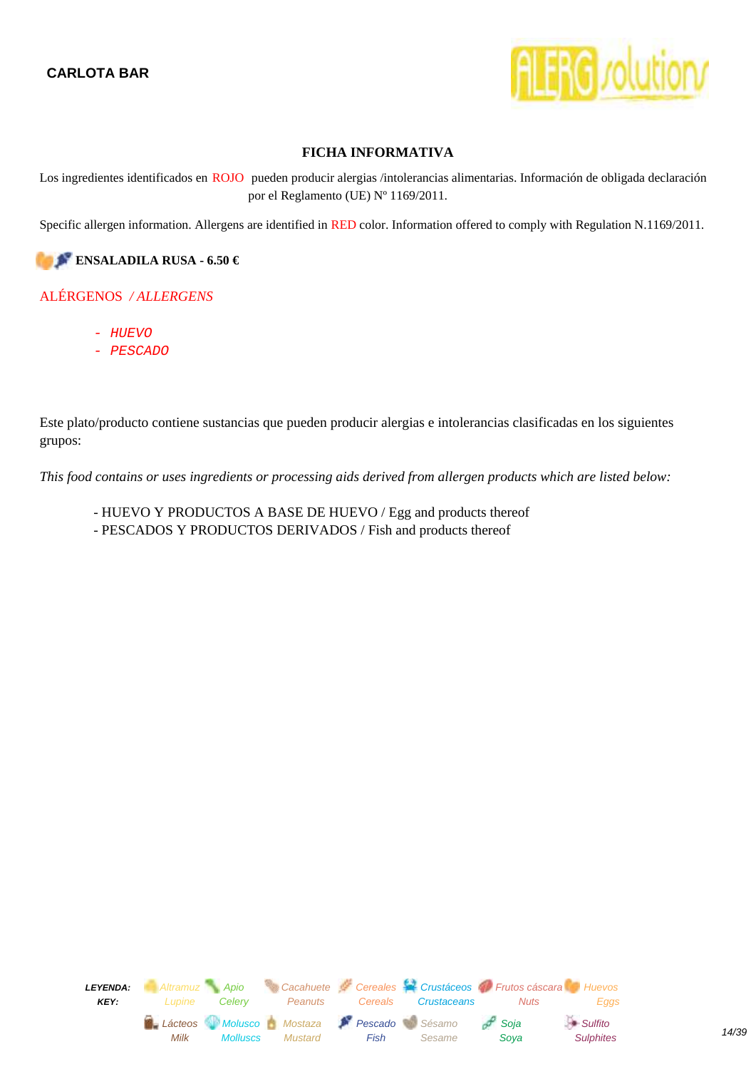

<span id="page-13-0"></span>Los ingredientes identificados en ROJO pueden producir alergias /intolerancias alimentarias. Información de obligada declaración por el Reglamento (UE) Nº 1169/2011.

Specific allergen information. Allergens are identified in RED color. Information offered to comply with Regulation N.1169/2011.

**ENSALADILA RUSA - 6.50 €** 

#### ALÉRGENOS */ ALLERGENS*

- HUEVO
- PESCADO

Este plato/producto contiene sustancias que pueden producir alergias e intolerancias clasificadas en los siguientes grupos:

- HUEVO Y PRODUCTOS A BASE DE HUEVO / Egg and products thereof
- PESCADOS Y PRODUCTOS DERIVADOS / Fish and products thereof

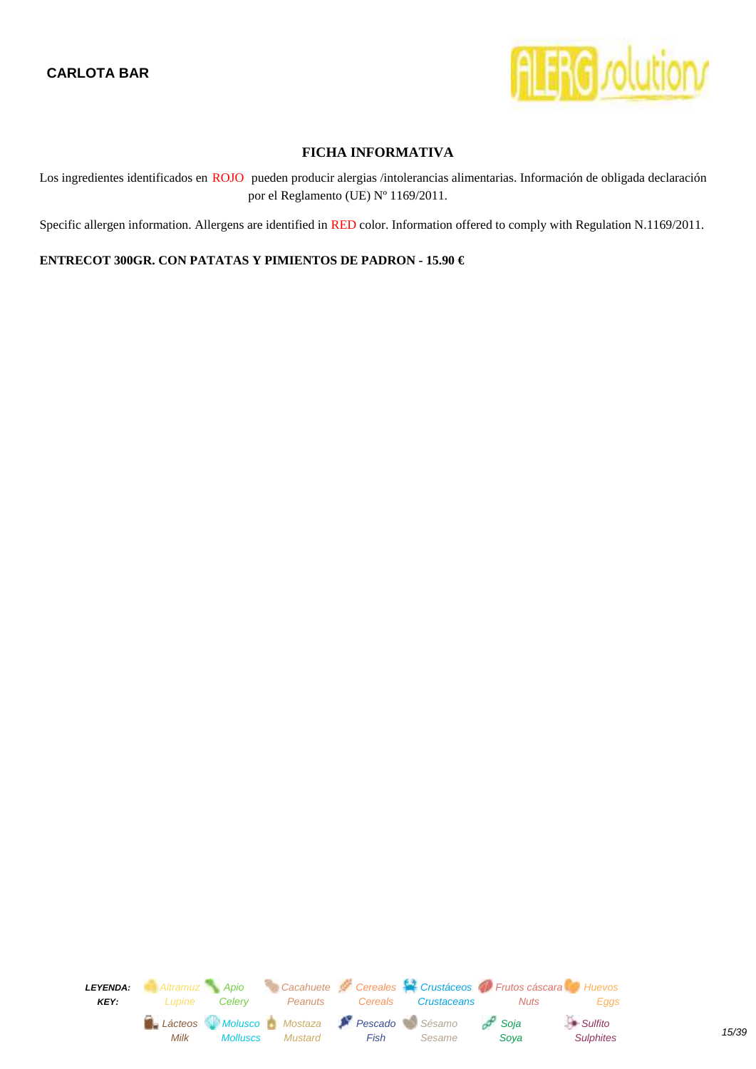

<span id="page-14-0"></span>Los ingredientes identificados en ROJO pueden producir alergias /intolerancias alimentarias. Información de obligada declaración por el Reglamento (UE) Nº 1169/2011.

Specific allergen information. Allergens are identified in RED color. Information offered to comply with Regulation N.1169/2011.

#### **ENTRECOT 300GR. CON PATATAS Y PIMIENTOS DE PADRON - 15.90 €**

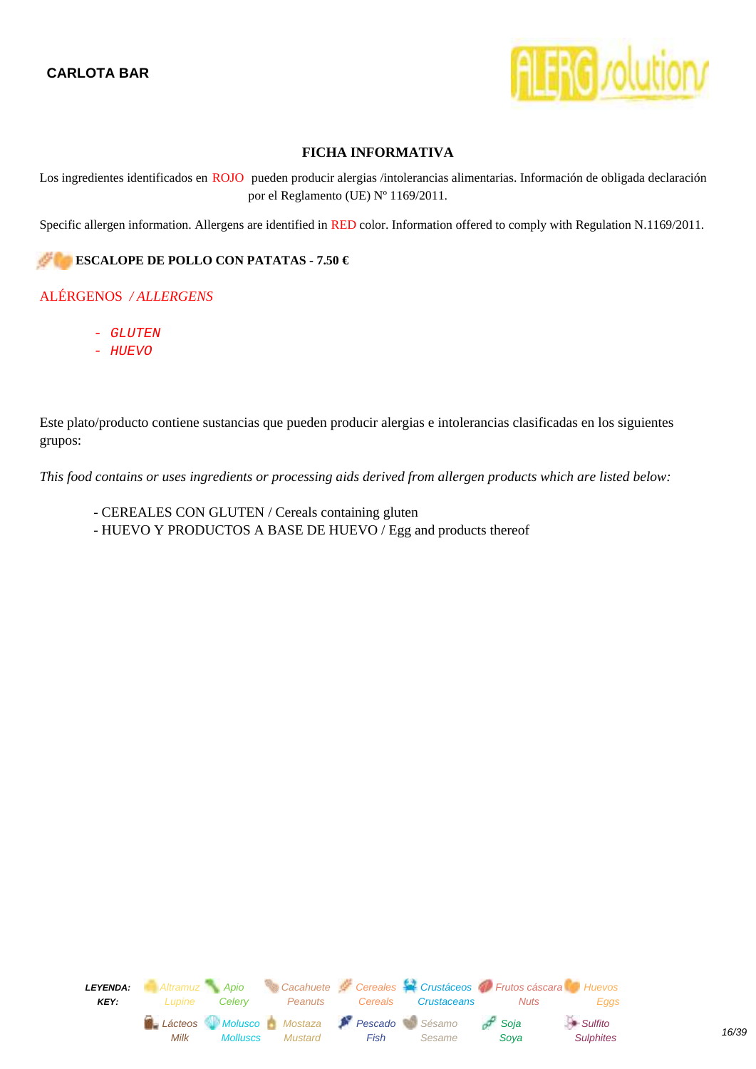

<span id="page-15-0"></span>Los ingredientes identificados en ROJO pueden producir alergias /intolerancias alimentarias. Información de obligada declaración por el Reglamento (UE) Nº 1169/2011.

Specific allergen information. Allergens are identified in RED color. Information offered to comply with Regulation N.1169/2011.

#### **ESCALOPE DE POLLO CON PATATAS - 7.50 €**

#### ALÉRGENOS */ ALLERGENS*

- GLUTEN
- HUEVO

Este plato/producto contiene sustancias que pueden producir alergias e intolerancias clasificadas en los siguientes grupos:

- CEREALES CON GLUTEN / Cereals containing gluten
- HUEVO Y PRODUCTOS A BASE DE HUEVO / Egg and products thereof

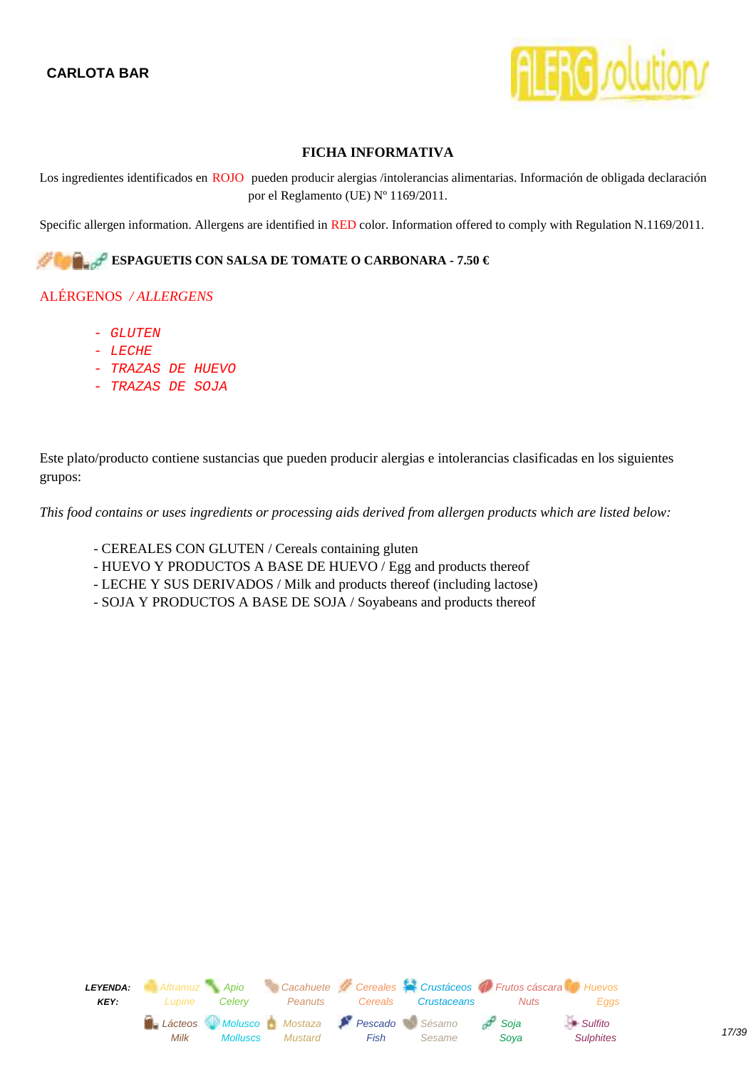

<span id="page-16-0"></span>Los ingredientes identificados en ROJO pueden producir alergias /intolerancias alimentarias. Información de obligada declaración por el Reglamento (UE) Nº 1169/2011.

Specific allergen information. Allergens are identified in RED color. Information offered to comply with Regulation N.1169/2011.

## **ESPAGUETIS CON SALSA DE TOMATE O CARBONARA - 7.50 €**

#### ALÉRGENOS */ ALLERGENS*

- GLUTEN
- LECHE
- TRAZAS DE HUEVO
- TRAZAS DE SOJA

Este plato/producto contiene sustancias que pueden producir alergias e intolerancias clasificadas en los siguientes grupos:

- CEREALES CON GLUTEN / Cereals containing gluten
- HUEVO Y PRODUCTOS A BASE DE HUEVO / Egg and products thereof
- LECHE Y SUS DERIVADOS / Milk and products thereof (including lactose)
- SOJA Y PRODUCTOS A BASE DE SOJA / Soyabeans and products thereof

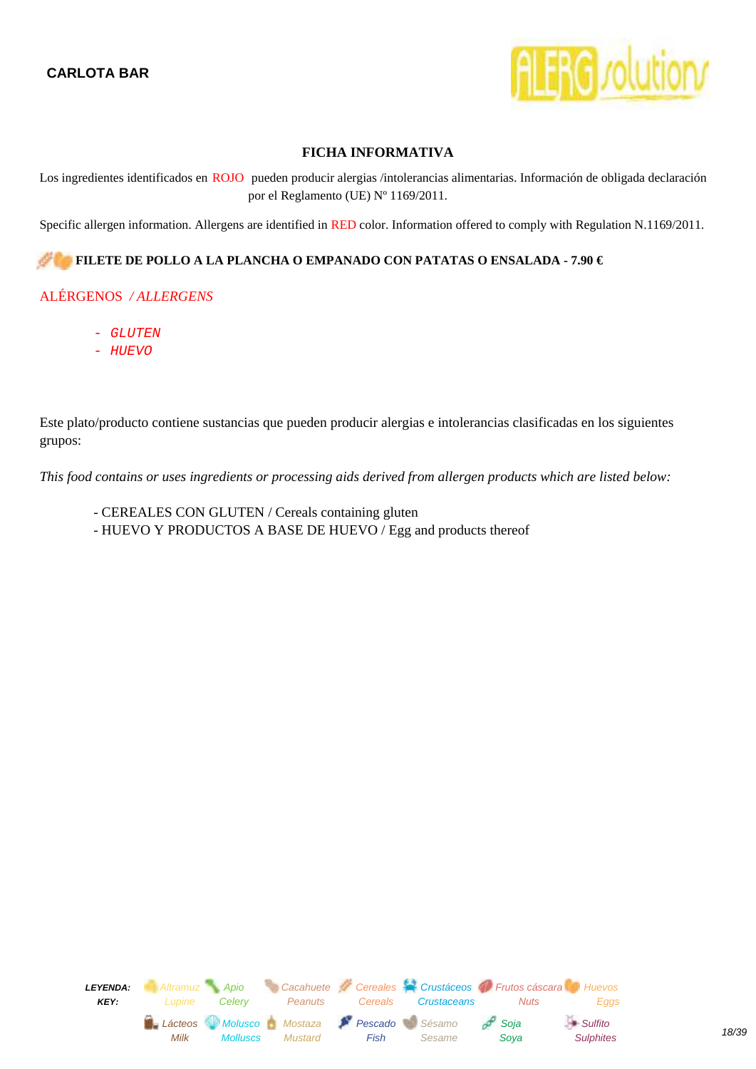

<span id="page-17-0"></span>Los ingredientes identificados en ROJO pueden producir alergias /intolerancias alimentarias. Información de obligada declaración por el Reglamento (UE) Nº 1169/2011.

Specific allergen information. Allergens are identified in RED color. Information offered to comply with Regulation N.1169/2011.

#### **FILETE DE POLLO A LA PLANCHA O EMPANADO CON PATATAS O ENSALADA - 7.90 €**

#### ALÉRGENOS */ ALLERGENS*

- GLUTEN
- HUEVO

Este plato/producto contiene sustancias que pueden producir alergias e intolerancias clasificadas en los siguientes grupos:

- CEREALES CON GLUTEN / Cereals containing gluten
- HUEVO Y PRODUCTOS A BASE DE HUEVO / Egg and products thereof

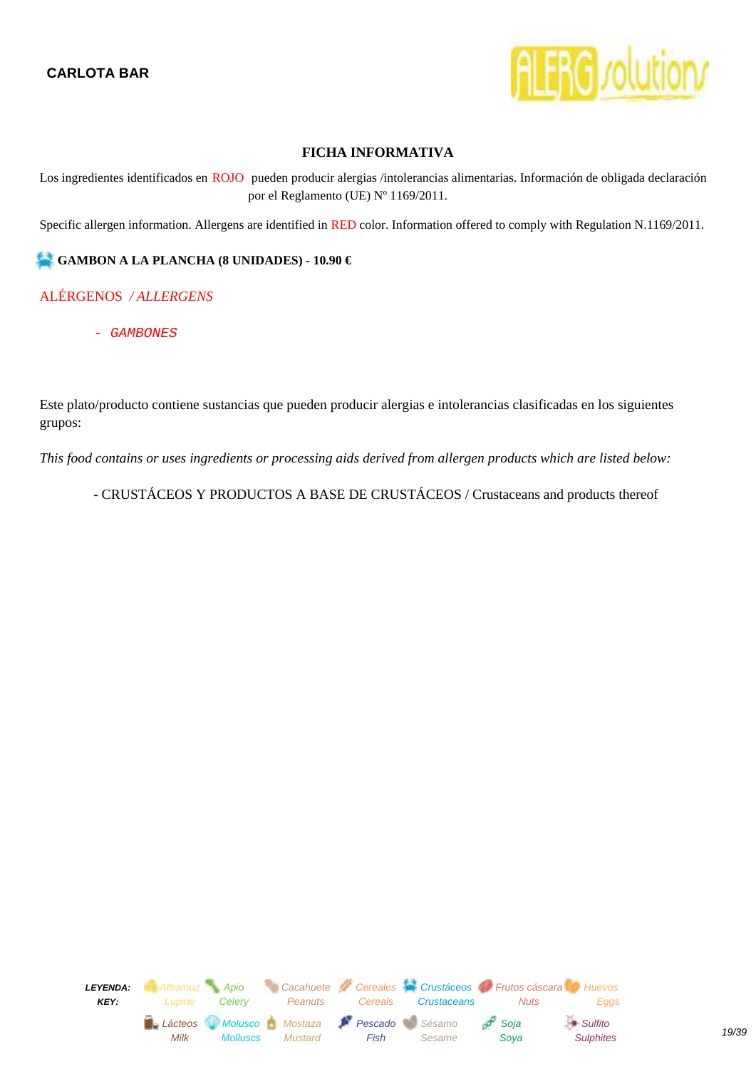

<span id="page-18-0"></span>Los ingredientes identificados en ROJO pueden producir alergias /intolerancias alimentarias. Información de obligada declaración por el Reglamento (UE) Nº 1169/2011.

Specific allergen information. Allergens are identified in RED color. Information offered to comply with Regulation N.1169/2011.

#### **GAMBON A LA PLANCHA (8 UNIDADES) - 10.90 €**

#### ALÉRGENOS */ ALLERGENS*

- GAMBONES

Este plato/producto contiene sustancias que pueden producir alergias e intolerancias clasificadas en los siguientes grupos:

*This food contains or uses ingredients or processing aids derived from allergen products which are listed below:*

- CRUSTÁCEOS Y PRODUCTOS A BASE DE CRUSTÁCEOS / Crustaceans and products thereof

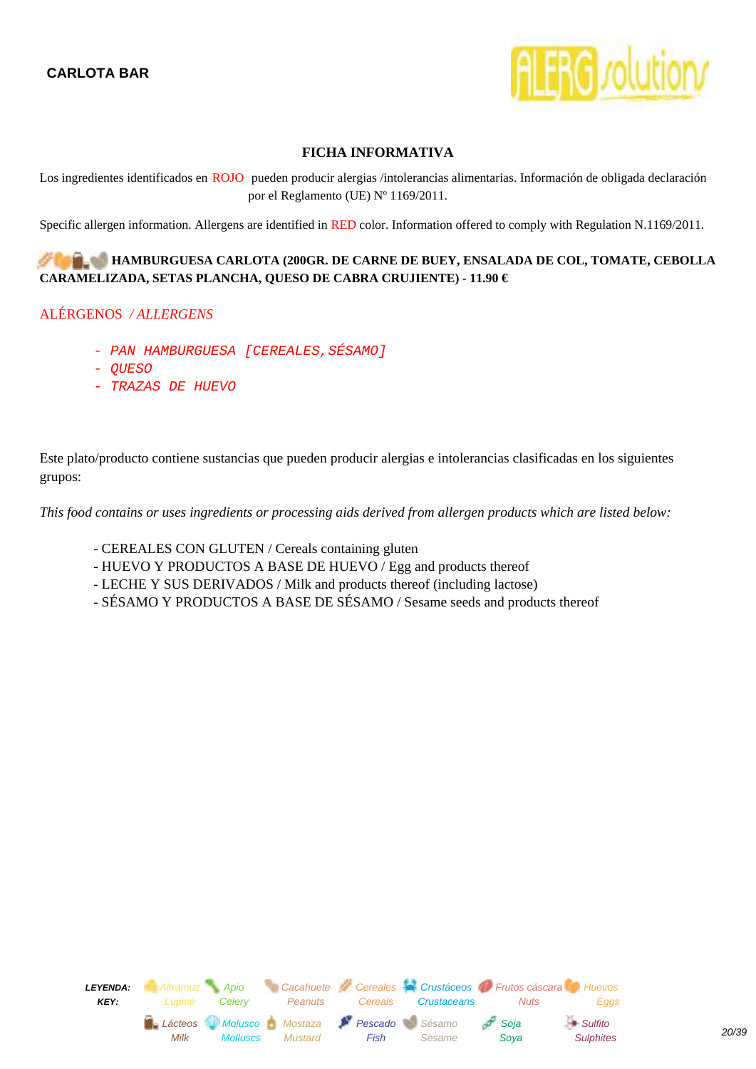

<span id="page-19-0"></span>Los ingredientes identificados en ROJO pueden producir alergias /intolerancias alimentarias. Información de obligada declaración por el Reglamento (UE) Nº 1169/2011.

Specific allergen information. Allergens are identified in RED color. Information offered to comply with Regulation N.1169/2011.

#### **HAMBURGUESA CARLOTA (200GR. DE CARNE DE BUEY, ENSALADA DE COL, TOMATE, CEBOLLA CARAMELIZADA, SETAS PLANCHA, QUESO DE CABRA CRUJIENTE) - 11.90 €**

#### ALÉRGENOS */ ALLERGENS*

- PAN HAMBURGUESA [CEREALES, SÉSAMO]
- QUESO
- TRAZAS DE HUEVO

Este plato/producto contiene sustancias que pueden producir alergias e intolerancias clasificadas en los siguientes grupos:

- CEREALES CON GLUTEN / Cereals containing gluten
- HUEVO Y PRODUCTOS A BASE DE HUEVO / Egg and products thereof
- LECHE Y SUS DERIVADOS / Milk and products thereof (including lactose)
- SÉSAMO Y PRODUCTOS A BASE DE SÉSAMO / Sesame seeds and products thereof

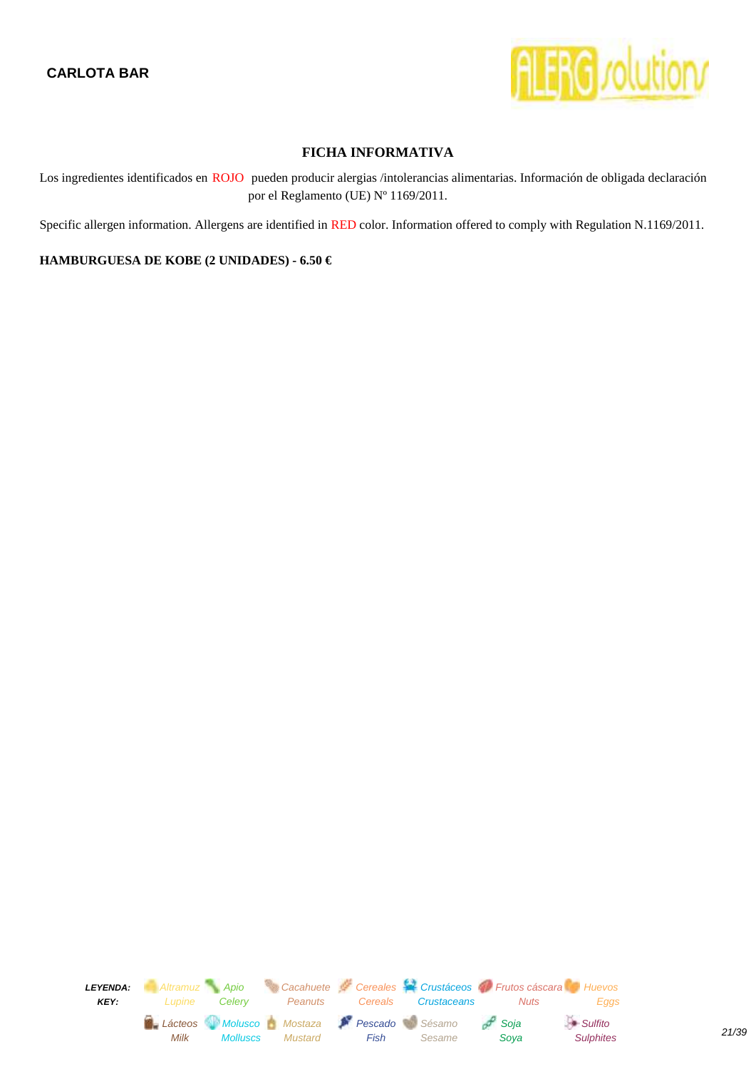

<span id="page-20-0"></span>Los ingredientes identificados en ROJO pueden producir alergias /intolerancias alimentarias. Información de obligada declaración por el Reglamento (UE) Nº 1169/2011.

Specific allergen information. Allergens are identified in RED color. Information offered to comply with Regulation N.1169/2011.

#### **HAMBURGUESA DE KOBE (2 UNIDADES) - 6.50 €**

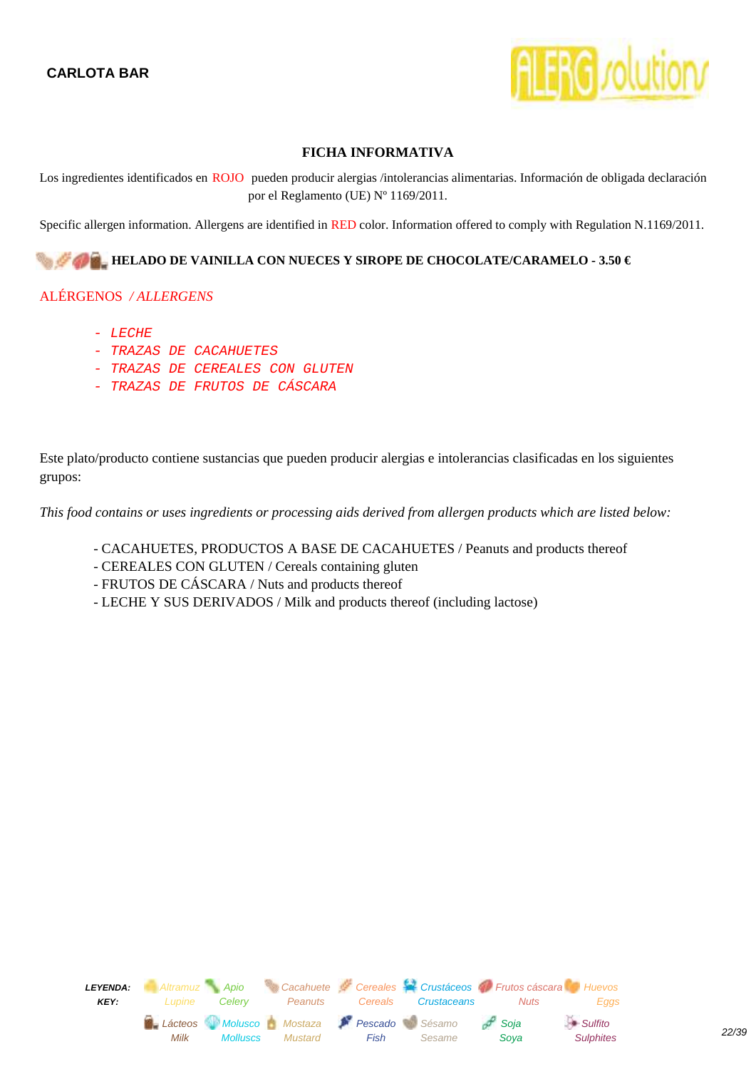

<span id="page-21-0"></span>Los ingredientes identificados en ROJO pueden producir alergias /intolerancias alimentarias. Información de obligada declaración por el Reglamento (UE) Nº 1169/2011.

Specific allergen information. Allergens are identified in RED color. Information offered to comply with Regulation N.1169/2011.

#### **HELADO DE VAINILLA CON NUECES Y SIROPE DE CHOCOLATE/CARAMELO - 3.50 €**

#### ALÉRGENOS */ ALLERGENS*

- $-$  LECHE
- TRAZAS DE CACAHUETES
- TRAZAS DE CEREALES CON GLUTEN
- TRAZAS DE FRUTOS DE CÁSCARA

Este plato/producto contiene sustancias que pueden producir alergias e intolerancias clasificadas en los siguientes grupos:

- CACAHUETES, PRODUCTOS A BASE DE CACAHUETES / Peanuts and products thereof
- CEREALES CON GLUTEN / Cereals containing gluten
- FRUTOS DE CÁSCARA / Nuts and products thereof
- LECHE Y SUS DERIVADOS / Milk and products thereof (including lactose)

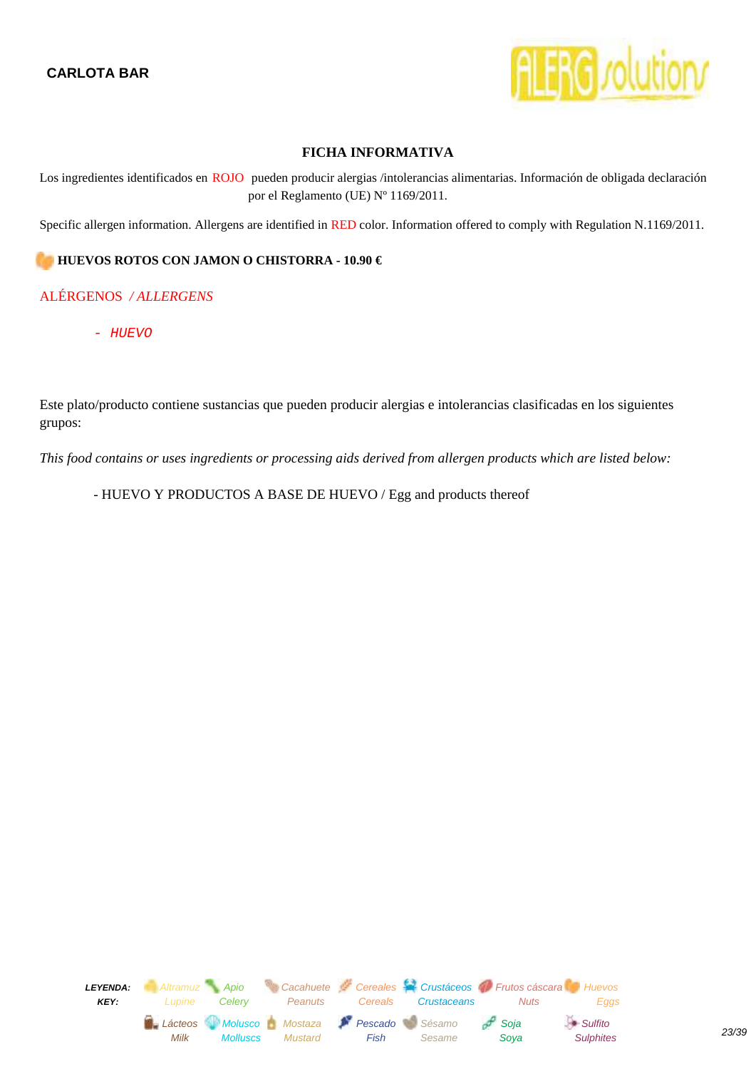

<span id="page-22-0"></span>Los ingredientes identificados en ROJO pueden producir alergias /intolerancias alimentarias. Información de obligada declaración por el Reglamento (UE) Nº 1169/2011.

Specific allergen information. Allergens are identified in RED color. Information offered to comply with Regulation N.1169/2011.

#### **HUEVOS ROTOS CON JAMON O CHISTORRA - 10.90 €**

#### ALÉRGENOS */ ALLERGENS*

- HUEVO

Este plato/producto contiene sustancias que pueden producir alergias e intolerancias clasificadas en los siguientes grupos:

*This food contains or uses ingredients or processing aids derived from allergen products which are listed below:*

- HUEVO Y PRODUCTOS A BASE DE HUEVO / Egg and products thereof

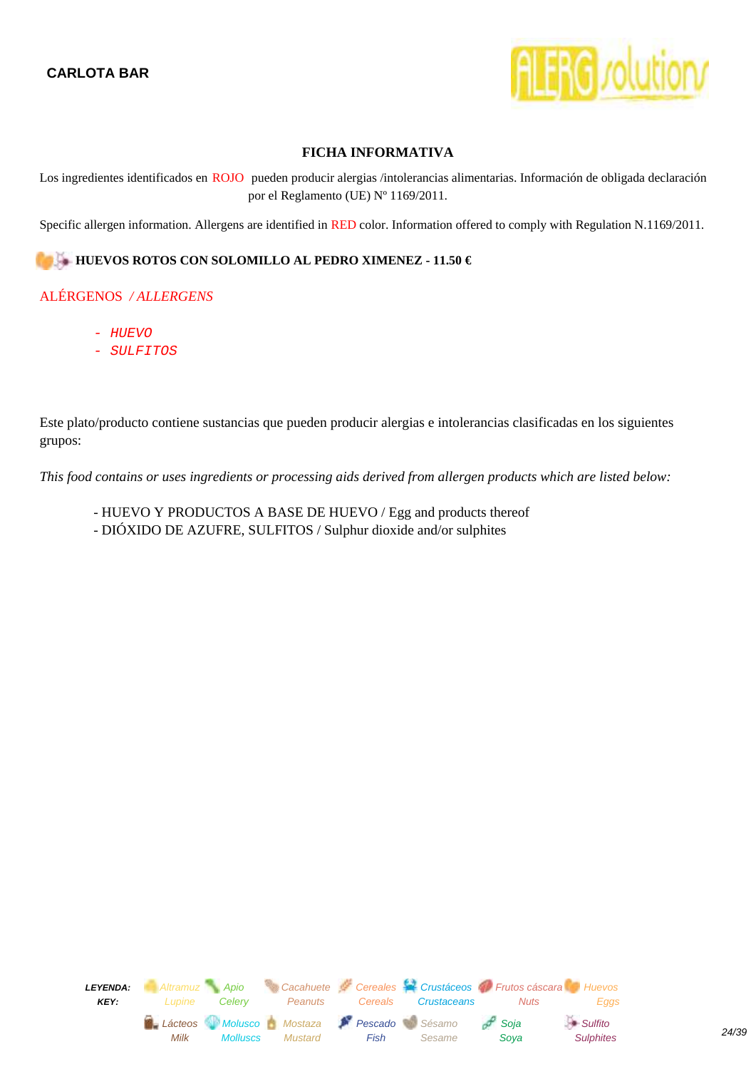

<span id="page-23-0"></span>Los ingredientes identificados en ROJO pueden producir alergias /intolerancias alimentarias. Información de obligada declaración por el Reglamento (UE) Nº 1169/2011.

Specific allergen information. Allergens are identified in RED color. Information offered to comply with Regulation N.1169/2011.

#### **HUEVOS ROTOS CON SOLOMILLO AL PEDRO XIMENEZ - 11.50 €**

## ALÉRGENOS */ ALLERGENS*

- HUEVO
- SULFITOS

Este plato/producto contiene sustancias que pueden producir alergias e intolerancias clasificadas en los siguientes grupos:

- HUEVO Y PRODUCTOS A BASE DE HUEVO / Egg and products thereof
- DIÓXIDO DE AZUFRE, SULFITOS / Sulphur dioxide and/or sulphites

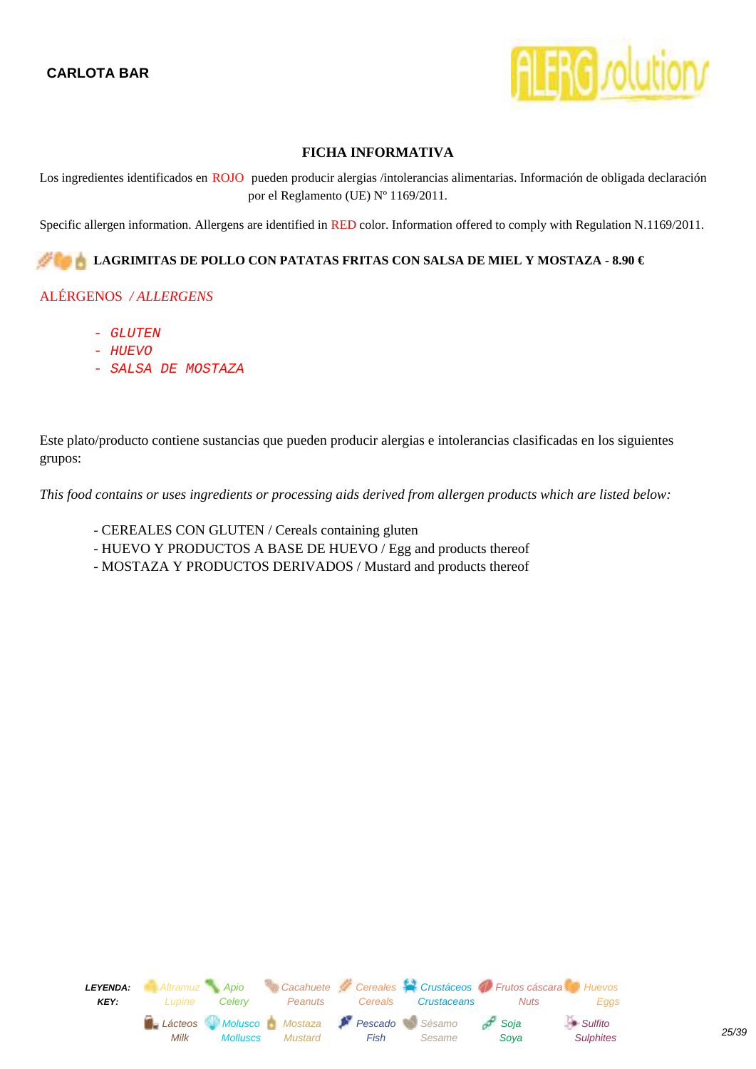

<span id="page-24-0"></span>Los ingredientes identificados en ROJO pueden producir alergias /intolerancias alimentarias. Información de obligada declaración por el Reglamento (UE) Nº 1169/2011.

Specific allergen information. Allergens are identified in RED color. Information offered to comply with Regulation N.1169/2011.

#### **LAGRIMITAS DE POLLO CON PATATAS FRITAS CON SALSA DE MIEL Y MOSTAZA - 8.90 €**

#### ALÉRGENOS */ ALLERGENS*

- GLUTEN
- HUEVO
- SALSA DE MOSTAZA

Este plato/producto contiene sustancias que pueden producir alergias e intolerancias clasificadas en los siguientes grupos:

- CEREALES CON GLUTEN / Cereals containing gluten
- HUEVO Y PRODUCTOS A BASE DE HUEVO / Egg and products thereof
- MOSTAZA Y PRODUCTOS DERIVADOS / Mustard and products thereof

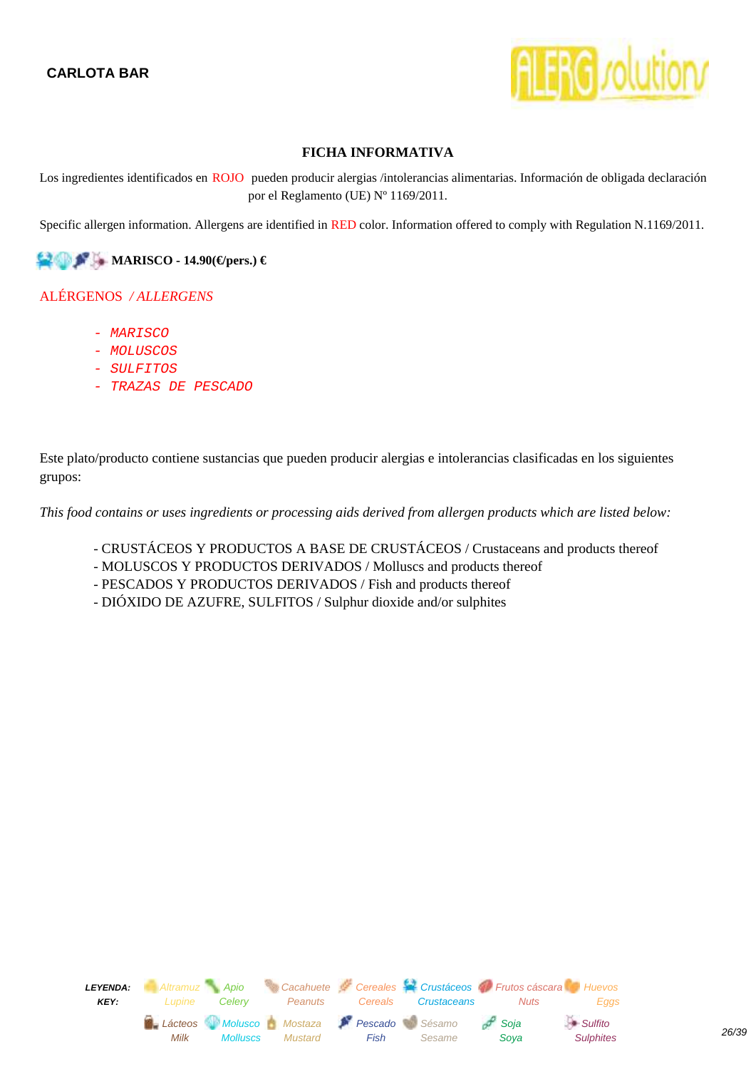

<span id="page-25-0"></span>Los ingredientes identificados en ROJO pueden producir alergias /intolerancias alimentarias. Información de obligada declaración por el Reglamento (UE) Nº 1169/2011.

Specific allergen information. Allergens are identified in RED color. Information offered to comply with Regulation N.1169/2011.

**MARISCO - 14.90(€/pers.) €** 

#### ALÉRGENOS */ ALLERGENS*

- MARISCO
- MOLUSCOS
- SULFITOS
- TRAZAS DE PESCADO

Este plato/producto contiene sustancias que pueden producir alergias e intolerancias clasificadas en los siguientes grupos:

- CRUSTÁCEOS Y PRODUCTOS A BASE DE CRUSTÁCEOS / Crustaceans and products thereof
- MOLUSCOS Y PRODUCTOS DERIVADOS / Molluscs and products thereof
- PESCADOS Y PRODUCTOS DERIVADOS / Fish and products thereof
- DIÓXIDO DE AZUFRE, SULFITOS / Sulphur dioxide and/or sulphites

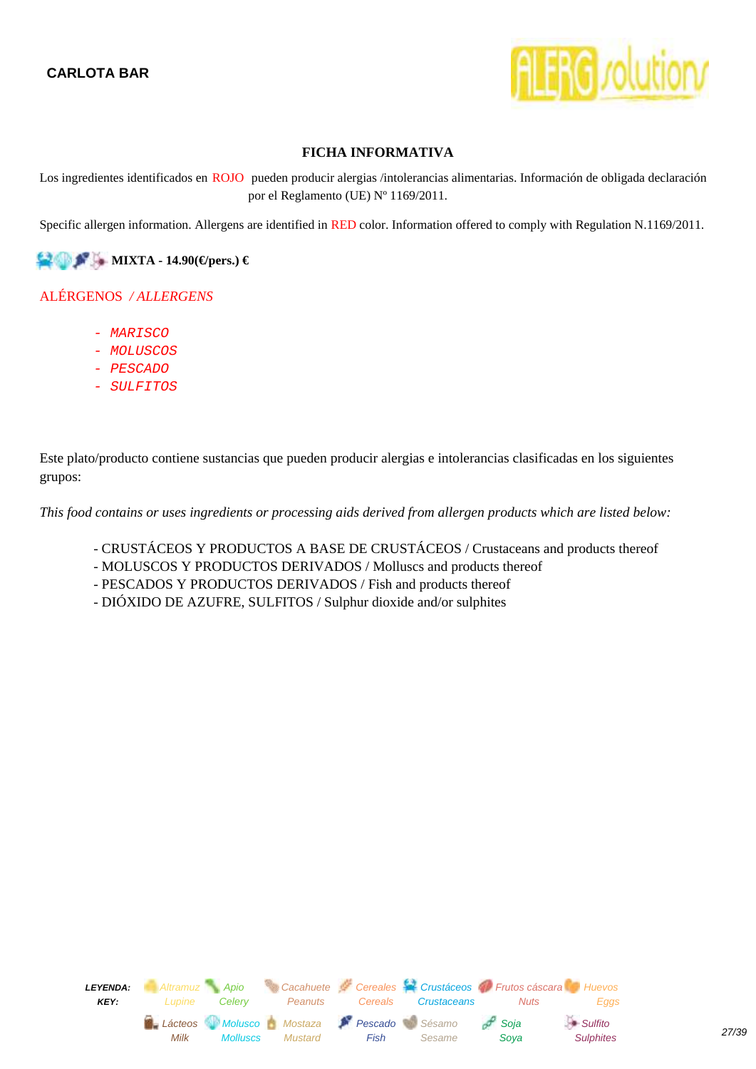

<span id="page-26-0"></span>Los ingredientes identificados en ROJO pueden producir alergias /intolerancias alimentarias. Información de obligada declaración por el Reglamento (UE) Nº 1169/2011.

Specific allergen information. Allergens are identified in RED color. Information offered to comply with Regulation N.1169/2011.

**MIXTA - 14.90(€/pers.) €** 

## ALÉRGENOS */ ALLERGENS*

- MARISCO
- MOLUSCOS
- PESCADO
- SULFITOS

Este plato/producto contiene sustancias que pueden producir alergias e intolerancias clasificadas en los siguientes grupos:

- CRUSTÁCEOS Y PRODUCTOS A BASE DE CRUSTÁCEOS / Crustaceans and products thereof
- MOLUSCOS Y PRODUCTOS DERIVADOS / Molluscs and products thereof
- PESCADOS Y PRODUCTOS DERIVADOS / Fish and products thereof
- DIÓXIDO DE AZUFRE, SULFITOS / Sulphur dioxide and/or sulphites

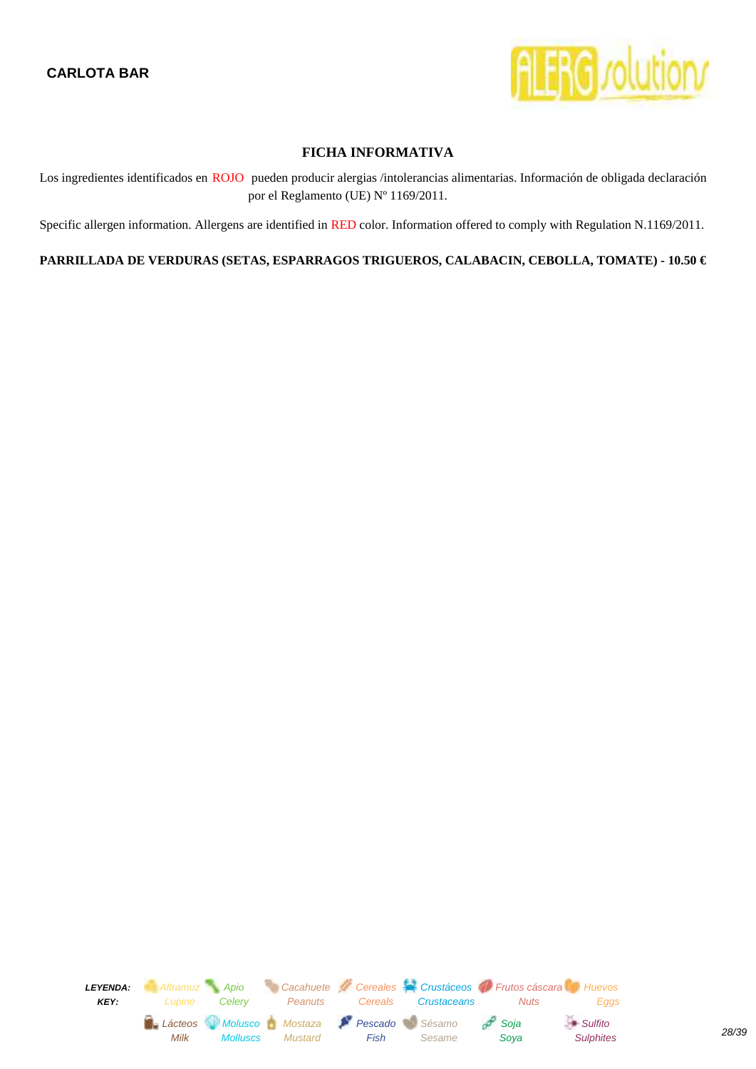

<span id="page-27-0"></span>Los ingredientes identificados en ROJO pueden producir alergias /intolerancias alimentarias. Información de obligada declaración por el Reglamento (UE) Nº 1169/2011.

Specific allergen information. Allergens are identified in RED color. Information offered to comply with Regulation N.1169/2011.

**PARRILLADA DE VERDURAS (SETAS, ESPARRAGOS TRIGUEROS, CALABACIN, CEBOLLA, TOMATE) - 10.50 €** 

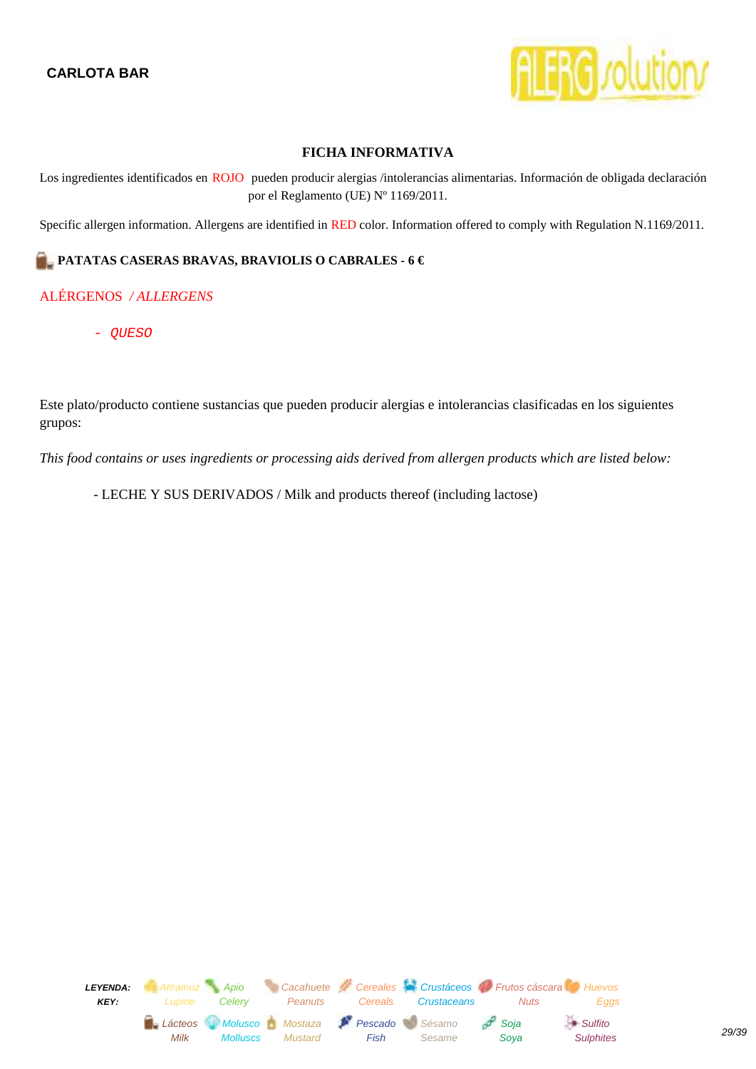

<span id="page-28-0"></span>Los ingredientes identificados en ROJO pueden producir alergias /intolerancias alimentarias. Información de obligada declaración por el Reglamento (UE) Nº 1169/2011.

Specific allergen information. Allergens are identified in RED color. Information offered to comply with Regulation N.1169/2011.

## **PATATAS CASERAS BRAVAS, BRAVIOLIS O CABRALES - 6 €**

## ALÉRGENOS */ ALLERGENS*

- QUESO

Este plato/producto contiene sustancias que pueden producir alergias e intolerancias clasificadas en los siguientes grupos:

*This food contains or uses ingredients or processing aids derived from allergen products which are listed below:*

- LECHE Y SUS DERIVADOS / Milk and products thereof (including lactose)

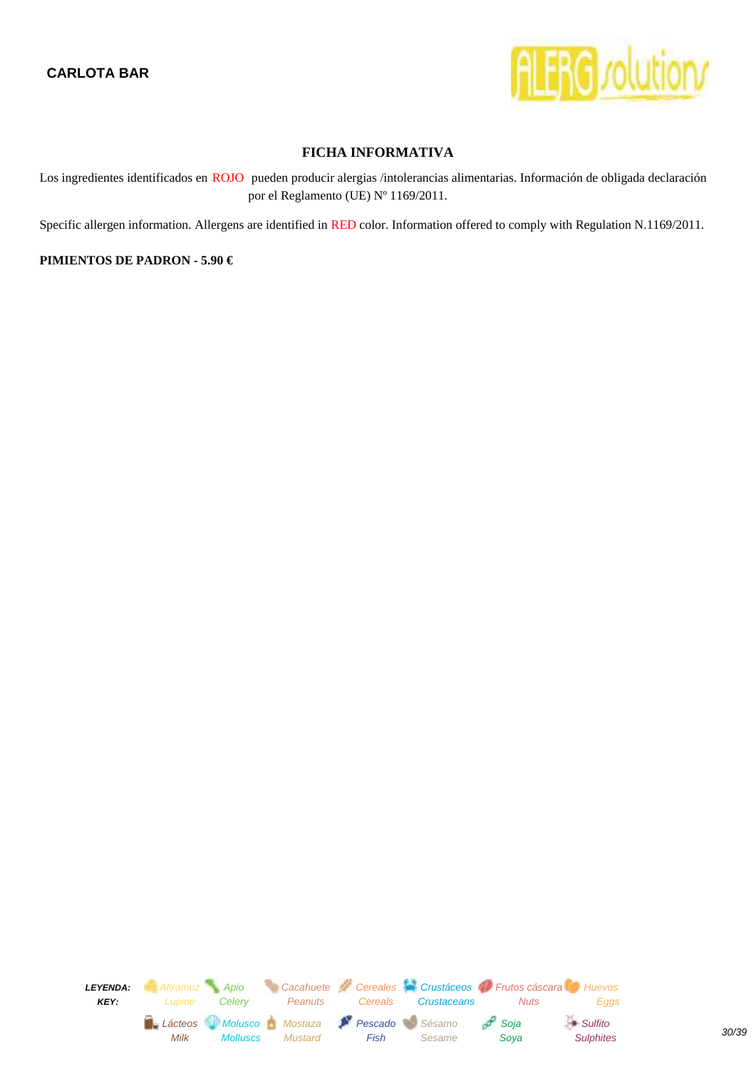

<span id="page-29-0"></span>Los ingredientes identificados en ROJO pueden producir alergias /intolerancias alimentarias. Información de obligada declaración por el Reglamento (UE) Nº 1169/2011.

Specific allergen information. Allergens are identified in RED color. Information offered to comply with Regulation N.1169/2011.

#### **PIMIENTOS DE PADRON - 5.90 €**

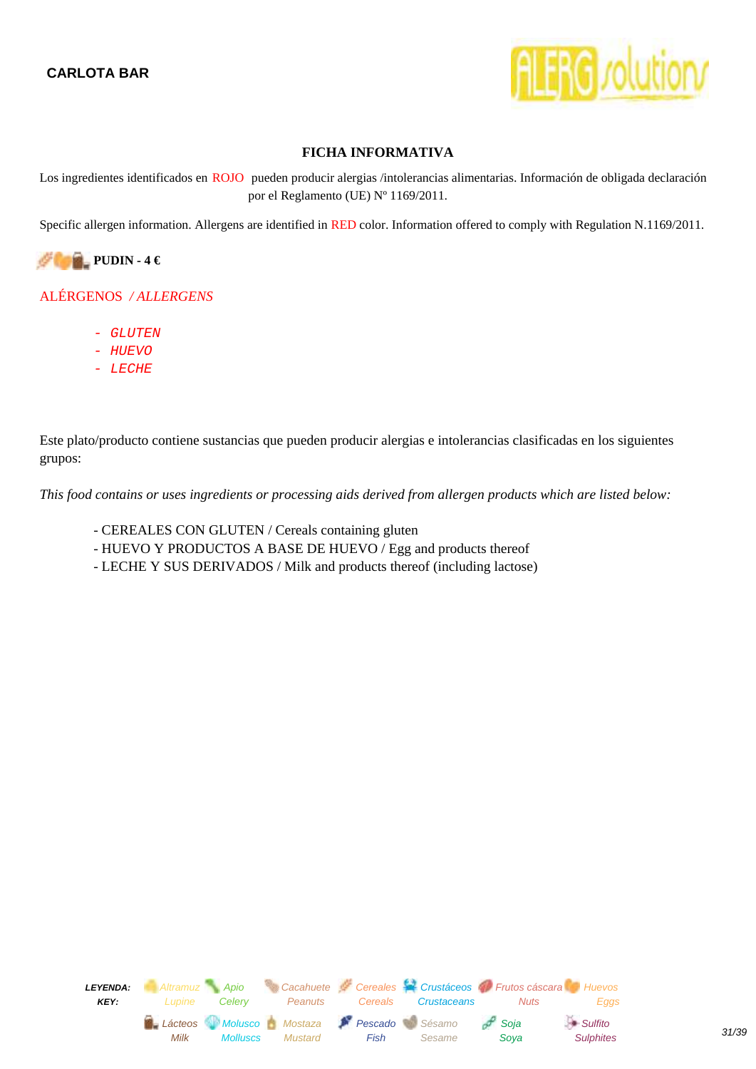

<span id="page-30-0"></span>Los ingredientes identificados en ROJO pueden producir alergias /intolerancias alimentarias. Información de obligada declaración por el Reglamento (UE) Nº 1169/2011.

Specific allergen information. Allergens are identified in RED color. Information offered to comply with Regulation N.1169/2011.



## ALÉRGENOS */ ALLERGENS*

- GLUTEN
- HUEVO
- LECHE

Este plato/producto contiene sustancias que pueden producir alergias e intolerancias clasificadas en los siguientes grupos:

- CEREALES CON GLUTEN / Cereals containing gluten
- HUEVO Y PRODUCTOS A BASE DE HUEVO / Egg and products thereof
- LECHE Y SUS DERIVADOS / Milk and products thereof (including lactose)

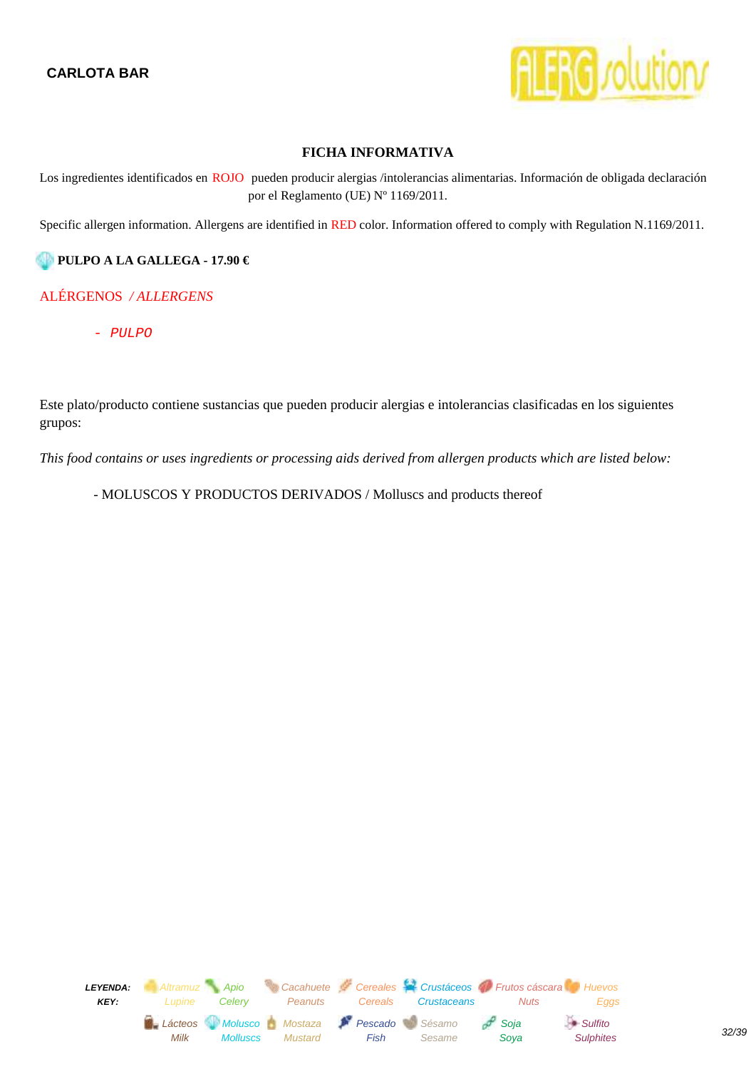

<span id="page-31-0"></span>Los ingredientes identificados en ROJO pueden producir alergias /intolerancias alimentarias. Información de obligada declaración por el Reglamento (UE) Nº 1169/2011.

Specific allergen information. Allergens are identified in RED color. Information offered to comply with Regulation N.1169/2011.

#### **PULPO A LA GALLEGA - 17.90 €**

#### ALÉRGENOS */ ALLERGENS*

- PULPO

Este plato/producto contiene sustancias que pueden producir alergias e intolerancias clasificadas en los siguientes grupos:

*This food contains or uses ingredients or processing aids derived from allergen products which are listed below:*

- MOLUSCOS Y PRODUCTOS DERIVADOS / Molluscs and products thereof

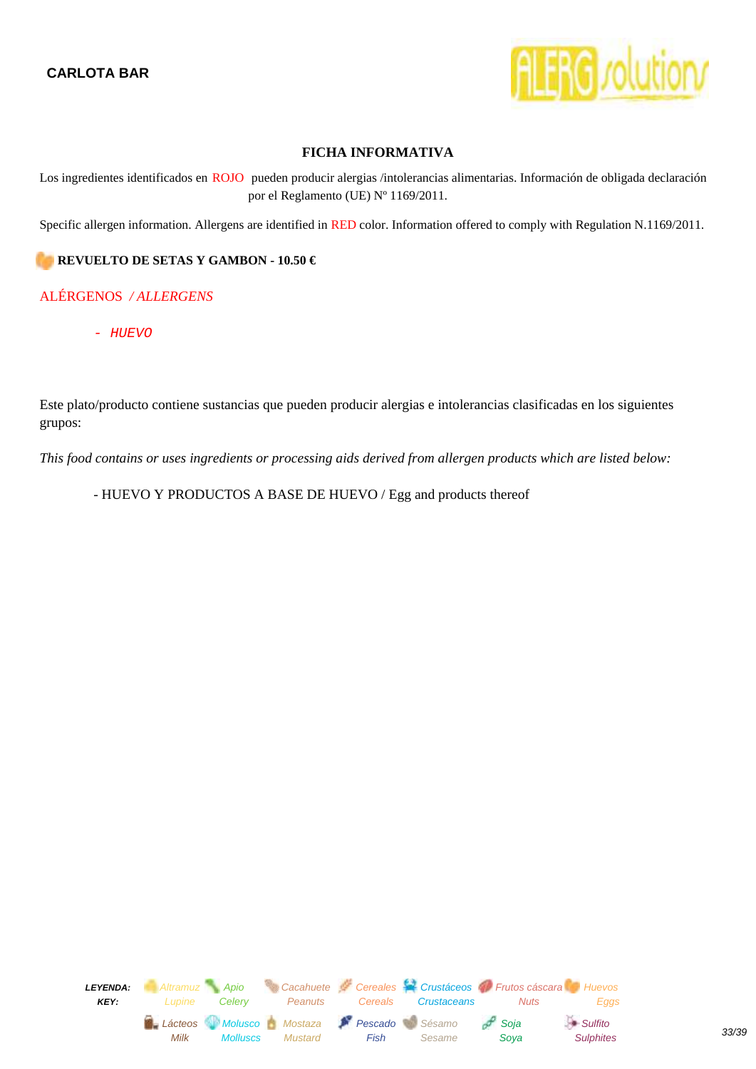

<span id="page-32-0"></span>Los ingredientes identificados en ROJO pueden producir alergias /intolerancias alimentarias. Información de obligada declaración por el Reglamento (UE) Nº 1169/2011.

Specific allergen information. Allergens are identified in RED color. Information offered to comply with Regulation N.1169/2011.

#### **REVUELTO DE SETAS Y GAMBON - 10.50 €**

#### ALÉRGENOS */ ALLERGENS*

- HUEVO

Este plato/producto contiene sustancias que pueden producir alergias e intolerancias clasificadas en los siguientes grupos:

*This food contains or uses ingredients or processing aids derived from allergen products which are listed below:*

- HUEVO Y PRODUCTOS A BASE DE HUEVO / Egg and products thereof

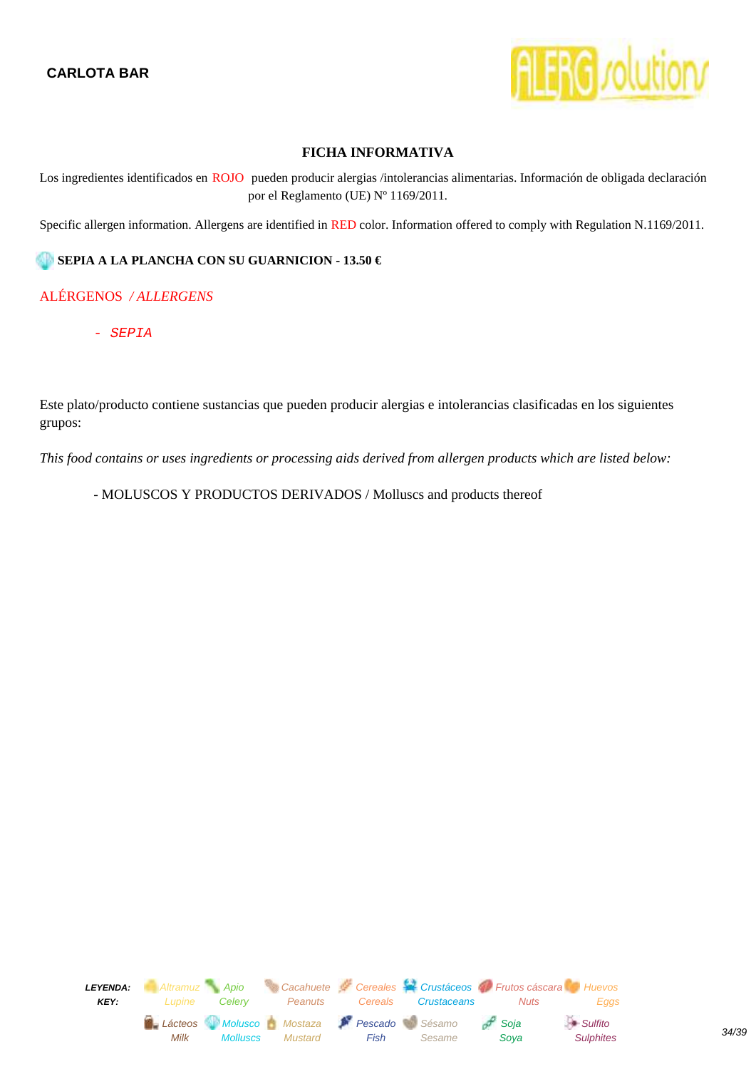

<span id="page-33-0"></span>Los ingredientes identificados en ROJO pueden producir alergias /intolerancias alimentarias. Información de obligada declaración por el Reglamento (UE) Nº 1169/2011.

Specific allergen information. Allergens are identified in RED color. Information offered to comply with Regulation N.1169/2011.

#### **SEPIA A LA PLANCHA CON SU GUARNICION - 13.50 €**

## ALÉRGENOS */ ALLERGENS*

- SEPIA

Este plato/producto contiene sustancias que pueden producir alergias e intolerancias clasificadas en los siguientes grupos:

*This food contains or uses ingredients or processing aids derived from allergen products which are listed below:*

- MOLUSCOS Y PRODUCTOS DERIVADOS / Molluscs and products thereof

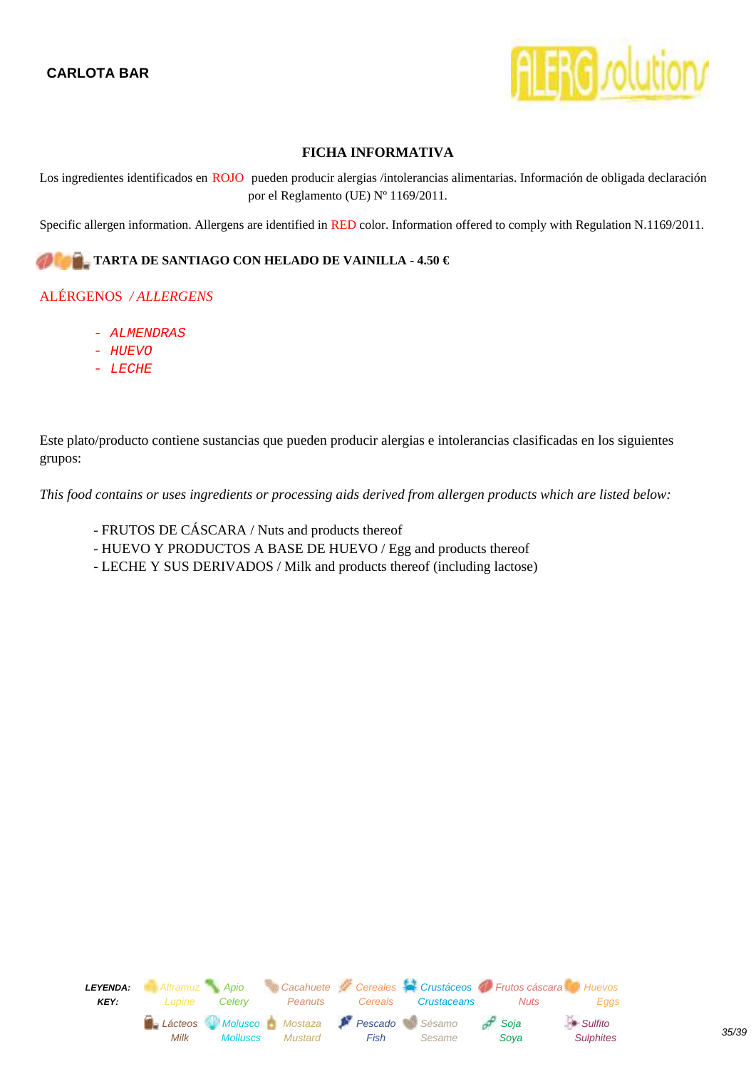

<span id="page-34-0"></span>Los ingredientes identificados en ROJO pueden producir alergias /intolerancias alimentarias. Información de obligada declaración por el Reglamento (UE) Nº 1169/2011.

Specific allergen information. Allergens are identified in RED color. Information offered to comply with Regulation N.1169/2011.

#### **TARTA DE SANTIAGO CON HELADO DE VAINILLA - 4.50 €**

## ALÉRGENOS */ ALLERGENS*

- ALMENDRAS
- HUEVO
- LECHE

Este plato/producto contiene sustancias que pueden producir alergias e intolerancias clasificadas en los siguientes grupos:

- FRUTOS DE CÁSCARA / Nuts and products thereof
- HUEVO Y PRODUCTOS A BASE DE HUEVO / Egg and products thereof
- LECHE Y SUS DERIVADOS / Milk and products thereof (including lactose)

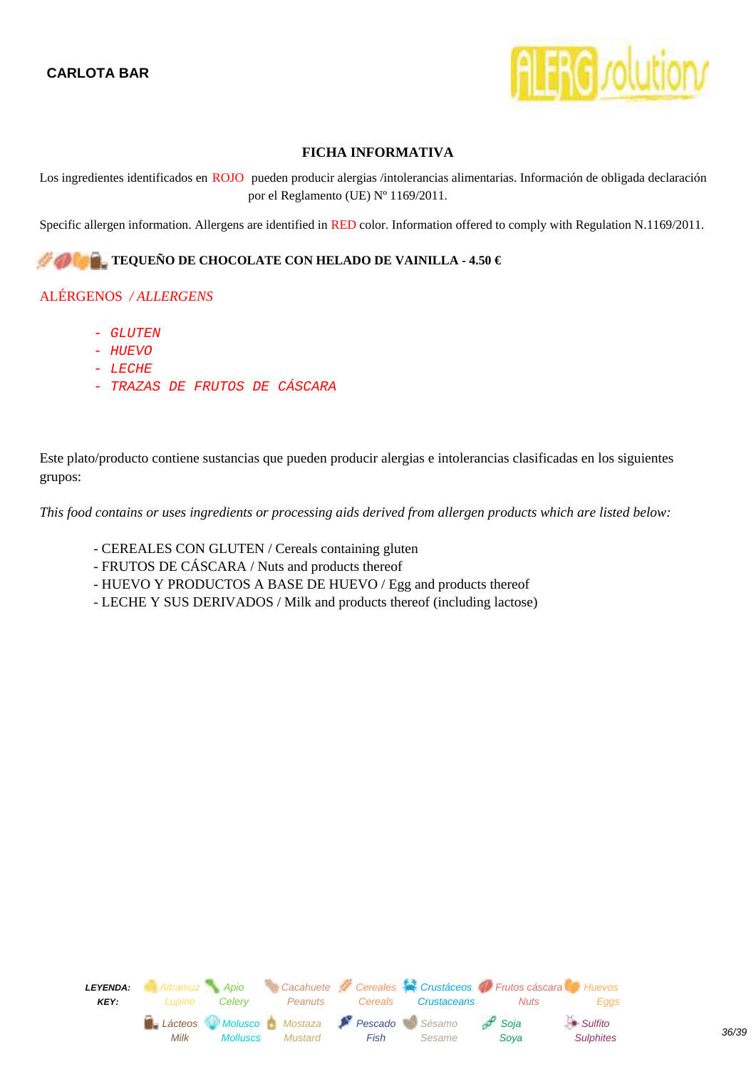

<span id="page-35-0"></span>Los ingredientes identificados en ROJO pueden producir alergias /intolerancias alimentarias. Información de obligada declaración por el Reglamento (UE) Nº 1169/2011.

Specific allergen information. Allergens are identified in RED color. Information offered to comply with Regulation N.1169/2011.

#### **TEQUEÑO DE CHOCOLATE CON HELADO DE VAINILLA - 4.50 €**

## ALÉRGENOS */ ALLERGENS*

- GLUTEN
- HUEVO
- LECHE
- TRAZAS DE FRUTOS DE CÁSCARA

Este plato/producto contiene sustancias que pueden producir alergias e intolerancias clasificadas en los siguientes grupos:

- CEREALES CON GLUTEN / Cereals containing gluten
- FRUTOS DE CÁSCARA / Nuts and products thereof
- HUEVO Y PRODUCTOS A BASE DE HUEVO / Egg and products thereof
- LECHE Y SUS DERIVADOS / Milk and products thereof (including lactose)

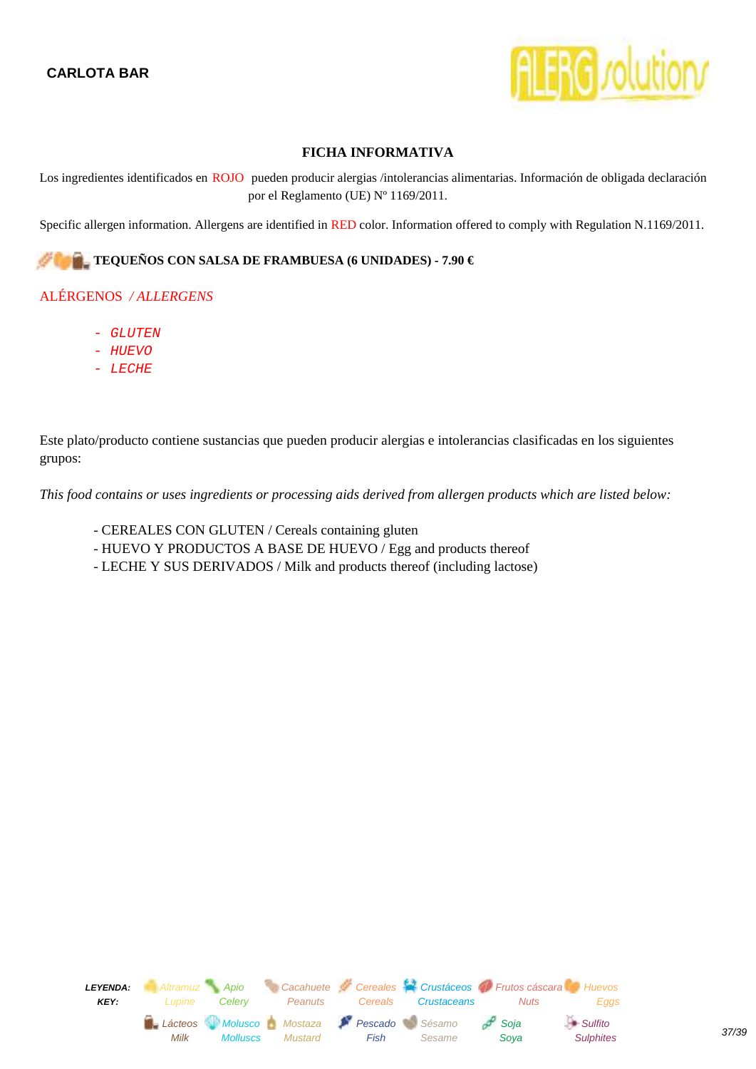

<span id="page-36-0"></span>Los ingredientes identificados en ROJO pueden producir alergias /intolerancias alimentarias. Información de obligada declaración por el Reglamento (UE) Nº 1169/2011.

Specific allergen information. Allergens are identified in RED color. Information offered to comply with Regulation N.1169/2011.

#### **TEQUEÑOS CON SALSA DE FRAMBUESA (6 UNIDADES) - 7.90 €**

#### ALÉRGENOS */ ALLERGENS*

- GLUTEN
- HUEVO
- LECHE

Este plato/producto contiene sustancias que pueden producir alergias e intolerancias clasificadas en los siguientes grupos:

- CEREALES CON GLUTEN / Cereals containing gluten
- HUEVO Y PRODUCTOS A BASE DE HUEVO / Egg and products thereof
- LECHE Y SUS DERIVADOS / Milk and products thereof (including lactose)

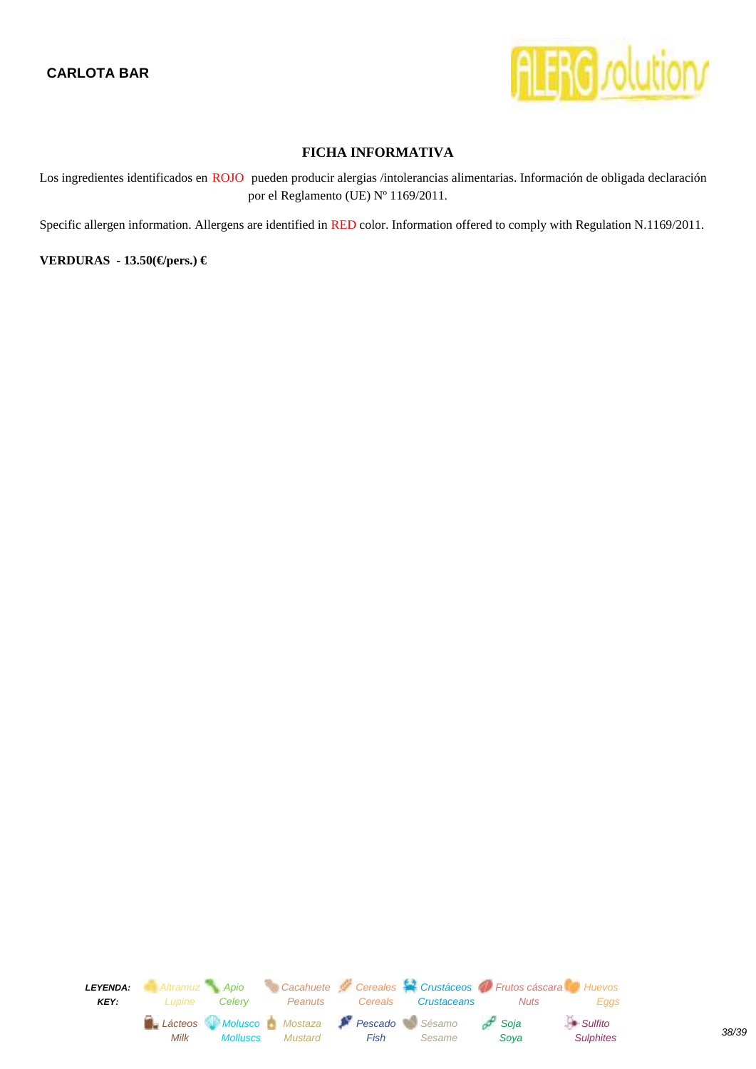

<span id="page-37-0"></span>Los ingredientes identificados en ROJO pueden producir alergias /intolerancias alimentarias. Información de obligada declaración por el Reglamento (UE) Nº 1169/2011.

Specific allergen information. Allergens are identified in RED color. Information offered to comply with Regulation N.1169/2011.

**VERDURAS - 13.50(€/pers.) €**